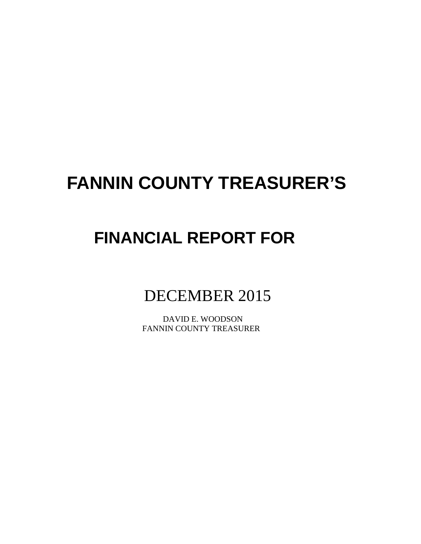# **FANNIN COUNTY TREASURER'S**

# **FINANCIAL REPORT FOR**

# DECEMBER 2015

 DAVID E. WOODSON FANNIN COUNTY TREASURER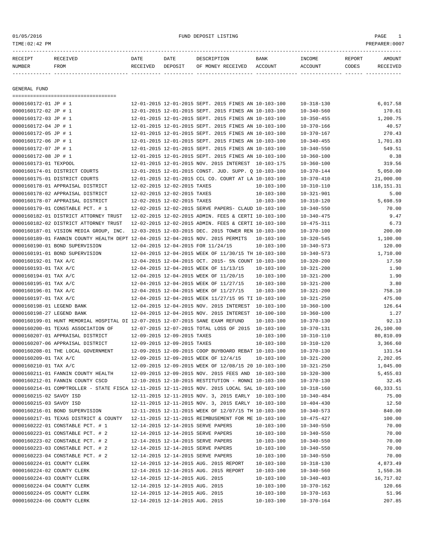| RECEIPT | RECEIVED | DATE     | DATE    | DESCRIPTION       | <b>BANK</b> | <b>TNCOME</b> | REPORT | AMOUNT   |
|---------|----------|----------|---------|-------------------|-------------|---------------|--------|----------|
| NUMBER  | FROM     | RECEIVED | DEPOSIT | OF MONEY RECEIVED | ACCOUNT     | ACCOUNT       | CODES  | RECEIVED |
|         |          |          |         |                   |             |               |        |          |

GENERAL FUND

===================================

| 0000160172-01 JP # 1                                                                         |                             |                                 | 12-01-2015 12-01-2015 SEPT. 2015 FINES AN 10-103-100 |                  | $10 - 318 - 130$ | 6,017.58     |
|----------------------------------------------------------------------------------------------|-----------------------------|---------------------------------|------------------------------------------------------|------------------|------------------|--------------|
| 0000160172-02 JP # 1                                                                         |                             |                                 | 12-01-2015 12-01-2015 SEPT. 2015 FINES AN 10-103-100 |                  | $10 - 340 - 560$ | 170.61       |
| 0000160172-03 JP # 1                                                                         |                             |                                 | 12-01-2015 12-01-2015 SEPT. 2015 FINES AN 10-103-100 |                  | $10 - 350 - 455$ | 1,200.75     |
| 0000160172-04 JP # 1                                                                         |                             |                                 | 12-01-2015 12-01-2015 SEPT. 2015 FINES AN 10-103-100 |                  | $10 - 370 - 166$ | 40.57        |
| 0000160172-05 JP # 1                                                                         |                             |                                 | 12-01-2015 12-01-2015 SEPT. 2015 FINES AN 10-103-100 |                  | $10 - 370 - 167$ | 270.43       |
| 0000160172-06 JP # 1                                                                         |                             |                                 | 12-01-2015 12-01-2015 SEPT. 2015 FINES AN 10-103-100 |                  | $10 - 340 - 455$ | 1,701.83     |
| 0000160172-07 JP # 1                                                                         |                             |                                 | 12-01-2015 12-01-2015 SEPT. 2015 FINES AN 10-103-100 |                  | $10 - 340 - 550$ | 549.51       |
| 0000160172-08 JP # 1                                                                         |                             |                                 | 12-01-2015 12-01-2015 SEPT. 2015 FINES AN 10-103-100 |                  | $10 - 360 - 100$ | 0.38         |
| 0000160173-01 TEXPOOL                                                                        |                             |                                 | 12-01-2015 12-01-2015 NOV. 2015 INTEREST 10-103-175  |                  | $10 - 360 - 100$ | 319.56       |
| 0000160174-01 DISTRICT COURTS                                                                |                             |                                 | 12-01-2015 12-01-2015 CONST. JUD. SUPP. Q 10-103-100 |                  | $10 - 370 - 144$ | 5,050.00     |
| 0000160175-01 DISTRICT COURTS                                                                |                             |                                 | 12-01-2015 12-01-2015 CCL CO. COURT AT LA 10-103-100 |                  | $10 - 370 - 410$ | 21,000.00    |
| 0000160178-01 APPRAISAL DISTRICT                                                             | 12-02-2015 12-02-2015 TAXES |                                 |                                                      | $10 - 103 - 100$ | $10 - 310 - 110$ | 118, 151. 31 |
| 0000160178-02 APPRAISAL DISTRICT                                                             | 12-02-2015 12-02-2015 TAXES |                                 |                                                      | 10-103-100       | $10 - 321 - 901$ | 5.00         |
| 0000160178-07 APPRAISAL DISTRICT                                                             | 12-02-2015 12-02-2015 TAXES |                                 |                                                      | $10 - 103 - 100$ | $10 - 310 - 120$ | 5,698.59     |
| 0000160179-01 CONSTABLE PCT. # 1                                                             |                             |                                 | 12-02-2015 12-02-2015 SERVE PAPERS- CLAUD 10-103-100 |                  | $10 - 340 - 550$ | 70.00        |
| 0000160182-01 DISTRICT ATTORNEY TRUST                                                        |                             |                                 | 12-02-2015 12-02-2015 ADMIN. FEES & CERTI 10-103-100 |                  | $10 - 340 - 475$ | 9.47         |
| 0000160182-02 DISTRICT ATTORNEY TRUST                                                        |                             |                                 | 12-02-2015 12-02-2015 ADMIN. FEES & CERTI 10-103-100 |                  | $10 - 475 - 311$ | 6.73         |
| 0000160187-01 VISION MEDIA GROUP, INC.                                                       |                             |                                 | 12-03-2015 12-03-2015 DEC. 2015 TOWER REN 10-103-100 |                  | $10 - 370 - 100$ | 200.00       |
| 0000160189-01 FANNIN COUNTY HEALTH DEPT 12-04-2015 12-04-2015 NOV. 2015 PERMITS              |                             |                                 |                                                      | 10-103-100       | $10 - 320 - 545$ | 1,100.00     |
| 0000160190-01 BOND SUPERVISION                                                               |                             |                                 | 12-04-2015 12-04-2015 FOR 11/24/15                   | 10-103-100       | $10 - 340 - 573$ | 120.00       |
|                                                                                              |                             |                                 | 12-04-2015 12-04-2015 WEEK OF 11/30/15 TH 10-103-100 |                  |                  |              |
| 0000160191-01 BOND SUPERVISION                                                               |                             |                                 |                                                      |                  | $10 - 340 - 573$ | 1,710.00     |
| 0000160192-01 TAX A/C                                                                        |                             |                                 | 12-04-2015 12-04-2015 OCT. 2015- 5% COUNT 10-103-100 |                  | $10 - 320 - 200$ | 17.50        |
| 0000160193-01 TAX A/C                                                                        |                             |                                 | 12-04-2015 12-04-2015 WEEK OF 11/13/15               | $10 - 103 - 100$ | $10 - 321 - 200$ | 1.90         |
| 0000160194-01 TAX A/C                                                                        |                             |                                 | 12-04-2015 12-04-2015 WEEK OF 11/20/15               | $10 - 103 - 100$ | $10 - 321 - 200$ | 1.90         |
| 0000160195-01 TAX A/C                                                                        |                             |                                 | 12-04-2015 12-04-2015 WEEK OF 11/27/15               | $10 - 103 - 100$ | $10 - 321 - 200$ | 3.80         |
| 0000160196-01 TAX A/C                                                                        |                             |                                 | 12-04-2015 12-04-2015 WEEK OF 11/27/15               | $10 - 103 - 100$ | $10 - 321 - 200$ | 758.10       |
| 0000160197-01 TAX A/C                                                                        |                             |                                 | 12-04-2015 12-04-2015 WEEK 11/27/15 95 TI 10-103-100 |                  | $10 - 321 - 250$ | 475.00       |
| 0000160198-01 LEGEND BANK                                                                    |                             |                                 | 12-04-2015 12-04-2015 NOV. 2015 INTEREST 10-103-100  |                  | $10 - 360 - 100$ | 126.64       |
| 0000160198-27 LEGEND BANK                                                                    |                             |                                 | 12-04-2015 12-04-2015 NOV. 2015 INTEREST 10-100-100  |                  | $10 - 360 - 100$ | 1.27         |
| 0000160199-01 HUNT MEMORIAL HOSPITAL DI 12-07-2015 12-07-2015 SANE EXAM REFUND               |                             |                                 |                                                      | $10 - 103 - 100$ | $10 - 370 - 130$ | 92.13        |
| 0000160200-01 TEXAS ASSOCIATION OF                                                           |                             |                                 | 12-07-2015 12-07-2015 TOTAL LOSS OF 2015 10-103-100  |                  | $10 - 370 - 131$ | 26,100.00    |
| 0000160207-01 APPRAISAL DISTRICT                                                             | 12-09-2015 12-09-2015 TAXES |                                 |                                                      | $10 - 103 - 100$ | $10 - 310 - 110$ | 80,810.09    |
| 0000160207-06 APPRAISAL DISTRICT                                                             | 12-09-2015 12-09-2015 TAXES |                                 |                                                      | 10-103-100       | $10 - 310 - 120$ | 3,366.60     |
| 0000160208-01 THE LOCAL GOVERNMENT                                                           |                             |                                 | 12-09-2015 12-09-2015 COOP BUYBOARD REBAT 10-103-100 |                  | $10 - 370 - 130$ | 131.54       |
| 0000160209-01 TAX A/C                                                                        |                             |                                 | 12-09-2015 12-09-2015 WEEK OF 12/4/15                | $10 - 103 - 100$ | $10 - 321 - 200$ | 2,202.05     |
| 0000160210-01 TAX A/C                                                                        |                             |                                 | 12-09-2015 12-09-2015 WEEK OF 12/08/15 20 10-103-100 |                  | $10 - 321 - 250$ | 1,045.00     |
| 0000160211-01 FANNIN COUNTY HEALTH                                                           |                             |                                 | 12-09-2015 12-09-2015 NOV. 2015 FEES AND 10-103-100  |                  | $10 - 320 - 300$ | 5,455.03     |
| 0000160212-01 FANNIN COUNTY CSCD                                                             |                             |                                 | 12-10-2015 12-10-2015 RESTITUTION - RONNI 10-103-100 |                  | $10 - 370 - 130$ | 32.45        |
| 0000160214-01 COMPTROLLER - STATE FISCA 12-11-2015 12-11-2015 NOV. 2015 LOCAL SAL 10-103-100 |                             |                                 |                                                      |                  | $10 - 318 - 160$ | 60,333.51    |
| 0000160215-02 SAVOY ISD                                                                      |                             |                                 | 12-11-2015 12-11-2015 NOV. 3, 2015 EARLY 10-103-100  |                  | $10 - 340 - 484$ | 75.00        |
| 0000160215-03 SAVOY ISD                                                                      |                             |                                 | 12-11-2015 12-11-2015 NOV. 3, 2015 EARLY 10-103-100  |                  | $10 - 404 - 430$ | 12.50        |
| 0000160216-01 BOND SUPERVISION                                                               |                             |                                 | 12-11-2015 12-11-2015 WEEK OF 12/07/15 TH 10-103-100 |                  | $10 - 340 - 573$ | 840.00       |
| 0000160217-01 TEXAS DISTRICT & COUNTY                                                        |                             |                                 | 12-11-2015 12-11-2015 REIMBUSEMENT FOR ME 10-103-100 |                  | $10 - 475 - 427$ | 100.00       |
| 0000160222-01 CONSTABLE PCT. # 1                                                             |                             |                                 | 12-14-2015 12-14-2015 SERVE PAPERS                   | $10 - 103 - 100$ | $10 - 340 - 550$ | 70.00        |
| 0000160223-01 CONSTABLE PCT. # 2                                                             |                             |                                 | 12-14-2015 12-14-2015 SERVE PAPERS                   | $10 - 103 - 100$ | $10 - 340 - 550$ | 70.00        |
| 0000160223-02 CONSTABLE PCT. # 2                                                             |                             |                                 | 12-14-2015 12-14-2015 SERVE PAPERS                   | $10 - 103 - 100$ | $10 - 340 - 550$ | 70.00        |
| 0000160223-03 CONSTABLE PCT. # 2                                                             |                             |                                 | 12-14-2015 12-14-2015 SERVE PAPERS                   | $10 - 103 - 100$ | $10 - 340 - 550$ | 70.00        |
| 0000160223-04 CONSTABLE PCT. # 2                                                             |                             |                                 | 12-14-2015 12-14-2015 SERVE PAPERS                   | 10-103-100       | $10 - 340 - 550$ | 70.00        |
| 0000160224-01 COUNTY CLERK                                                                   |                             |                                 | 12-14-2015 12-14-2015 AUG. 2015 REPORT               | 10-103-100       | $10 - 318 - 130$ | 4,873.49     |
| 0000160224-02 COUNTY CLERK                                                                   |                             |                                 | 12-14-2015 12-14-2015 AUG. 2015 REPORT               | $10 - 103 - 100$ | $10 - 340 - 560$ | 1,550.36     |
| 0000160224-03 COUNTY CLERK                                                                   |                             | 12-14-2015 12-14-2015 AUG. 2015 |                                                      | $10 - 103 - 100$ | $10 - 340 - 403$ | 16,717.02    |
| 0000160224-04 COUNTY CLERK                                                                   |                             | 12-14-2015 12-14-2015 AUG. 2015 |                                                      | $10 - 103 - 100$ | $10 - 370 - 162$ | 120.66       |
| 0000160224-05 COUNTY CLERK                                                                   |                             | 12-14-2015 12-14-2015 AUG. 2015 |                                                      | $10 - 103 - 100$ | $10 - 370 - 163$ | 51.96        |
| 0000160224-06 COUNTY CLERK                                                                   |                             | 12-14-2015 12-14-2015 AUG. 2015 |                                                      | $10 - 103 - 100$ | $10 - 370 - 164$ | 207.85       |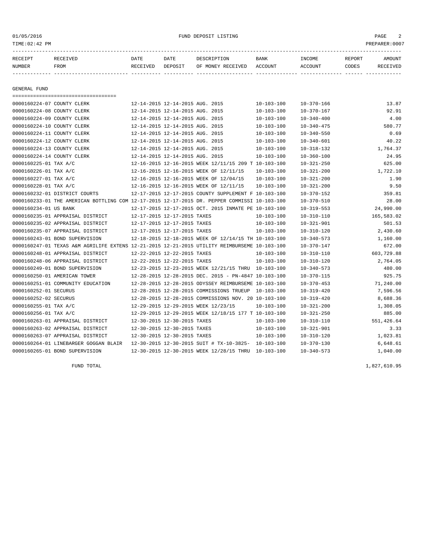GENERAL FUND

===================================

#### 01/05/2016 FUND DEPOSIT LISTING PAGE 2

| RECEIPT | RECEIVED | DATE     | DATE    | DESCRIPTION       | BANK    | INCOME  | REPORT | AMOUNT   |
|---------|----------|----------|---------|-------------------|---------|---------|--------|----------|
| NUMBER  | FROM     | RECEIVED | DEPOSIT | OF MONEY RECEIVED | ACCOUNT | ACCOUNT | CODES  | RECEIVED |
|         |          |          |         |                   |         |         |        |          |
|         |          |          |         |                   |         |         |        |          |

0000160224-07 COUNTY CLERK 12-14-2015 12-14-2015 AUG. 2015 10-103-100 10-370-166 13.87 0000160224-08 COUNTY CLERK 12-14-2015 12-14-2015 AUG. 2015 10-103-100 10-370-167 92.91 0000160224-09 COUNTY CLERK 12-14-2015 12-14-2015 AUG. 2015 10-103-100 10-340-400 4.00 0000160224-10 COUNTY CLERK 12-14-2015 12-14-2015 AUG. 2015 10-103-100 10-340-475 580.77 0000160224-11 COUNTY CLERK 12-14-2015 12-14-2015 AUG. 2015 10-103-100 10-340-550 0.69 0000160224-12 COUNTY CLERK 12-14-2015 12-14-2015 AUG. 2015 10-103-100 10-340-601 40.22 0000160224-13 COUNTY CLERK 12-14-2015 12-14-2015 AUG. 2015 10-103-100 10-318-132 1,764.37 0000160224-14 COUNTY CLERK 12-14-2015 12-14-2015 AUG. 2015 10-103-100 10-360-100 24.95 0000160225-01 TAX A/C 12-16-2015 12-16-2015 WEEK 12/11/15 209 T 10-103-100 10-321-250 625.00 0000160226-01 TAX A/C 12-16-2015 12-16-2015 WEEK OF 12/11/15 10-103-100 10-321-200 1,722.10 0000160227-01 TAX A/C 12-16-2015 12-16-2015 WEEK OF 12/04/15 10-103-100 10-321-200 1.90 0000160228-01 TAX A/C <br>0000160232-01 DISTRICT COURTS 12-17-2015 12-17-2015 COUNTY SUPPLEMENT F 10-103-100 10-370-152 359.81

0000160233-01 THE AMERICAN BOTTLING COM 12-17-2015 12-17-2015 DR. PEPPER COMMISSI 10-103-100 10-370-510 28.00 0000160234-01 US BANK 12-17-2015 12-17-2015 OCT. 2015 INMATE PE 10-103-100 10-319-553 24,990.00 0000160235-01 APPRAISAL DISTRICT 12-17-2015 12-17-2015 TAXES 10-103-100 10-310-110 165,583.02 0000160235-02 APPRAISAL DISTRICT 12-17-2015 12-17-2015 TAXES 10-103-100 10-321-901 501.53 0000160235-07 APPRAISAL DISTRICT 12-17-2015 12-17-2015 TAXES 10-103-100 10-310-120 2,430.60 0000160243-01 BOND SUPERVISION 12-18-2015 12-18-2015 WEEK OF 12/14/15 TH 10-103-100 10-340-573 1,160.00 0000160247-01 TEXAS A&M AGRILIFE EXTENS 12-21-2015 12-21-2015 UTILITY REIMBURSEME 10-103-100 10-370-147 672.00 0000160248-01 APPRAISAL DISTRICT 12-22-2015 12-22-2015 TAXES 10-103-100 10-310-110 603,729.88 0000160248-06 APPRAISAL DISTRICT 12-22-2015 12-22-2015 TAXES 10-103-100 10-310-120 2,764.05 0000160249-01 BOND SUPERVISION 12-23-2015 12-23-2015 WEEK 12/21/15 THRU 10-103-100 10-340-573 480.00

0000160263-01 APPRAISAL DISTRICT 12-30-2015 12-30-2015 TAXES 10-103-100 10-310-110 551,426.64 0000160263-02 APPRAISAL DISTRICT 12-30-2015 12-30-2015 TAXES 10-103-100 10-321-901 3.33 0000160263-07 APPRAISAL DISTRICT 12-30-2015 12-30-2015 TAXES 10-103-100 10-310-120 1,023.81 0000160264-01 LINEBARGER GOGGAN BLAIR 12-30-2015 12-30-2015 SUIT # TX-10-3825- 10-103-100 10-370-130 6,648.61 0000160265-01 BOND SUPERVISION 12-30-2015 12-30-2015 WEEK 12/28/15 THRU 10-103-100 10-340-573 1,040.00

12-17-2015 12-17-2015 COUNTY SUPPLEMENT F 10-103-100 10-370-152 359.81

FUND TOTAL 1,827,610.95

| FAGE<br>___ |  |
|-------------|--|
|             |  |
|             |  |
|             |  |

0000160250-01 AMERICAN TOWER 12-28-2015 12-28-2015 DEC. 2015 - PN-4847 10-103-100 10-370-115 925.75 0000160251-01 COMMUNITY EDUCATION 12-28-2015 12-28-2015 ODYSSEY REIMBURSEME 10-103-100 10-370-453 71,240.00 0000160252-01 SECURUS 12-28-2015 12-28-2015 COMMISSIONS TRUEUP 10-103-100 10-319-420 7,596.56 0000160252-02 SECURUS 12-28-2015 12-28-2015 COMMISSIONS NOV. 20 10-103-100 10-319-420 8,688.36 0000160255-01 TAX A/C 12-29-2015 12-29-2015 WEEK 12/23/15 10-103-100 10-321-200 1,308.05 0000160256-01 TAX A/C 12-29-2015 12-29-2015 WEEK 12/18/15 177 T 10-103-100 10-321-250 885.00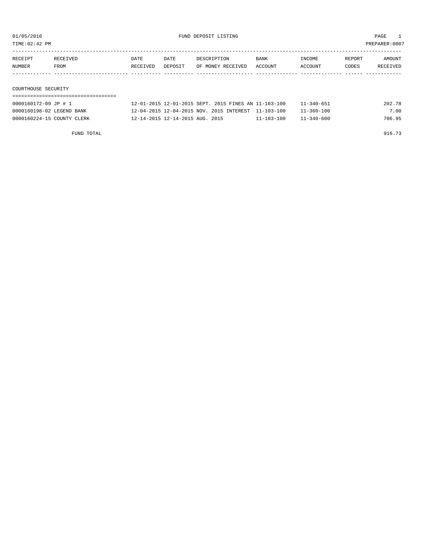TIME:02:42 PM PREPARER:0007

| RECEIPT             | RECEIVED | DATE     | DATE    | DESCRIPTION       | <b>BANK</b> | INCOME  | REPORT | AMOUNT   |
|---------------------|----------|----------|---------|-------------------|-------------|---------|--------|----------|
| NUMBER              | FROM     | RECEIVED | DEPOSIT | OF MONEY RECEIVED | ACCOUNT     | ACCOUNT | CODES  | RECEIVED |
|                     |          |          |         |                   |             |         |        |          |
|                     |          |          |         |                   |             |         |        |          |
| COURTHOUSE SECURITY |          |          |         |                   |             |         |        |          |

## ===================================

| 0000160172-09 JP # 1       | 12-01-2015 12-01-2015 SEPT. 2015 FINES AN 11-103-100 |                  | $11 - 340 - 651$ | 202.78 |
|----------------------------|------------------------------------------------------|------------------|------------------|--------|
| 0000160198-02 LEGEND BANK  | 12-04-2015 12-04-2015 NOV. 2015 INTEREST 11-103-100  |                  | 11-360-100       | 7.00   |
| 0000160224-15 COUNTY CLERK | 12-14-2015 12-14-2015 AUG. 2015                      | $11 - 103 - 100$ | $11 - 340 - 600$ | 706.95 |

FUND TOTAL  $916.73$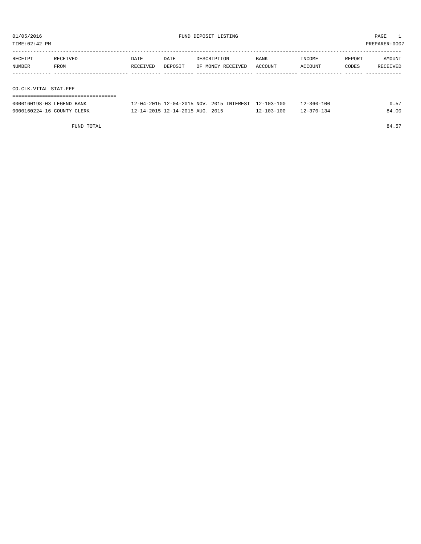| TIME:02:42 PM                  |                  |                  |                 |             |                   |                                                    | PREPARER:0007     |                 |                    |  |
|--------------------------------|------------------|------------------|-----------------|-------------|-------------------|----------------------------------------------------|-------------------|-----------------|--------------------|--|
| RECEIPT<br>NUMBER              | RECEIVED<br>FROM | DATE<br>RECEIVED | DATE<br>DEPOSIT | DESCRIPTION | OF MONEY RECEIVED | <b>BANK</b><br>ACCOUNT                             | INCOME<br>ACCOUNT | REPORT<br>CODES | AMOUNT<br>RECEIVED |  |
|                                |                  |                  |                 |             |                   |                                                    |                   |                 |                    |  |
| CO.CLK.VITAL STAT.FEE          |                  |                  |                 |             |                   |                                                    |                   |                 |                    |  |
|                                |                  |                  |                 |             |                   |                                                    |                   |                 |                    |  |
| $0000160198 - 03$ LECENID RANK |                  |                  |                 |             |                   | 12-04-2015 12-04-2015 NOV 2015 INTERRET 12-103-100 | $12 - 360 - 100$  |                 | 0 57               |  |

| 0000160198-03 LEGEND BANK  | 12-04-2015 12-04-2015 NOV. 2015 INTEREST 12-103-100 |            | 12-360-100       | 0.57  |
|----------------------------|-----------------------------------------------------|------------|------------------|-------|
| 0000160224-16 COUNTY CLERK | 12-14-2015 12-14-2015 AUG. 2015                     | 12-103-100 | $12 - 370 - 134$ | 84.00 |

FUND TOTAL 84.57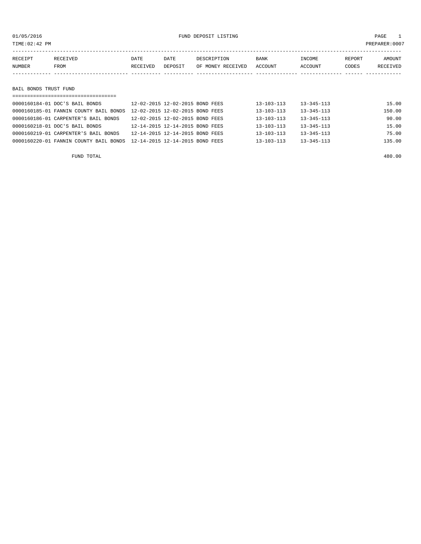### 01/05/2016 FUND DEPOSIT LISTING PAGE 1

| RECEIPT               | RECEIVED                               | DATE                            | DATE                            | DESCRIPTION       | <b>BANK</b>      | INCOME           | REPORT | AMOUNT          |
|-----------------------|----------------------------------------|---------------------------------|---------------------------------|-------------------|------------------|------------------|--------|-----------------|
| NUMBER                | FROM                                   | RECEIVED                        | DEPOSIT                         | OF MONEY RECEIVED | ACCOUNT          | ACCOUNT          | CODES  | <b>RECEIVED</b> |
|                       |                                        |                                 |                                 |                   |                  |                  |        |                 |
|                       |                                        |                                 |                                 |                   |                  |                  |        |                 |
| BAIL BONDS TRUST FUND |                                        |                                 |                                 |                   |                  |                  |        |                 |
|                       |                                        |                                 |                                 |                   |                  |                  |        |                 |
|                       | 0000160184-01 DOC'S BAIL BONDS         |                                 | 12-02-2015 12-02-2015 BOND FEES |                   | $13 - 103 - 113$ | $13 - 345 - 113$ |        | 15.00           |
|                       | 0000160185-01 FANNIN COUNTY BAIL BONDS | 12-02-2015 12-02-2015 BOND FEES |                                 |                   | $13 - 103 - 113$ | $13 - 345 - 113$ |        | 150.00          |

| AAAATAA AT TIMMIT CAANTI NITE AANDA TA AS TATA TA AS DAMA TERR              |                                 |  |                  |                  |        |
|-----------------------------------------------------------------------------|---------------------------------|--|------------------|------------------|--------|
| 0000160186-01 CARPENTER'S BAIL BONDS                                        | 12-02-2015 12-02-2015 BOND FEES |  | $13 - 103 - 113$ | $13 - 345 - 113$ | 90.00  |
| 0000160218-01 DOC'S BAIL BONDS                                              | 12-14-2015 12-14-2015 BOND FEES |  | $13 - 103 - 113$ | $13 - 345 - 113$ | 15.00  |
| 0000160219-01 CARPENTER'S BAIL BONDS                                        | 12-14-2015 12-14-2015 BOND FEES |  | $13 - 103 - 113$ | $13 - 345 - 113$ | 75.00  |
| 0000160220-01 FANNIN COUNTY BAIL BONDS    12-14-2015  12-14-2015  BOND FEES |                                 |  | $13 - 103 - 113$ | $13 - 345 - 113$ | 135.00 |
|                                                                             |                                 |  |                  |                  |        |

FUND TOTAL 480.00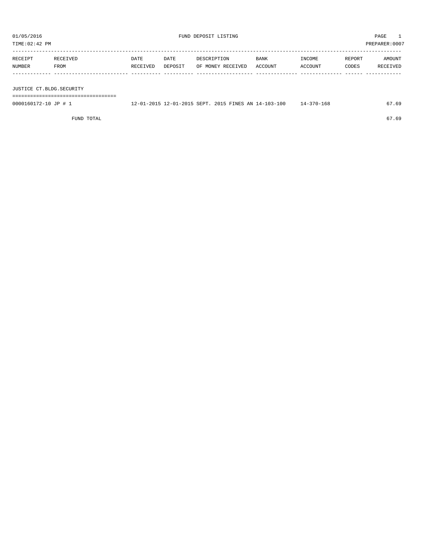| TIME:02:42 PM        |                                     |                  |                 |                                                      |                 |                   |                 | PREPARER:0007      |
|----------------------|-------------------------------------|------------------|-----------------|------------------------------------------------------|-----------------|-------------------|-----------------|--------------------|
| RECEIPT<br>NUMBER    | RECEIVED<br>FROM                    | DATE<br>RECEIVED | DATE<br>DEPOSIT | DESCRIPTION<br>OF MONEY RECEIVED                     | BANK<br>ACCOUNT | INCOME<br>ACCOUNT | REPORT<br>CODES | AMOUNT<br>RECEIVED |
|                      |                                     |                  |                 |                                                      |                 |                   |                 |                    |
|                      | JUSTICE CT.BLDG.SECURITY            |                  |                 |                                                      |                 |                   |                 |                    |
|                      | =================================== |                  |                 |                                                      |                 |                   |                 |                    |
| 0000160172-10 JP # 1 |                                     |                  |                 | 12-01-2015 12-01-2015 SEPT. 2015 FINES AN 14-103-100 |                 | $14 - 370 - 168$  |                 | 67.69              |

FUND TOTAL 67.69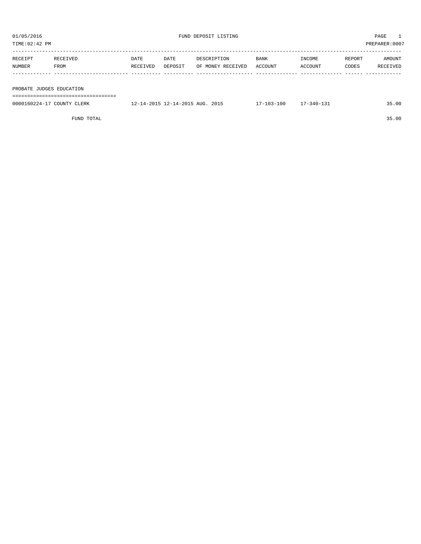| 01/05/2016    |                          |          |         | FUND DEPOSIT LISTING |         | PAGE    |        |                |  |  |  |  |
|---------------|--------------------------|----------|---------|----------------------|---------|---------|--------|----------------|--|--|--|--|
| TIME:02:42 PM |                          |          |         |                      |         |         |        | PREPARER: 0007 |  |  |  |  |
|               |                          |          |         |                      |         |         |        |                |  |  |  |  |
| RECEIPT       | RECEIVED                 | DATE     | DATE    | DESCRIPTION          | BANK    | INCOME  | REPORT | AMOUNT         |  |  |  |  |
| NUMBER        | FROM                     | RECEIVED | DEPOSIT | OF MONEY RECEIVED    | ACCOUNT | ACCOUNT | CODES  | RECEIVED       |  |  |  |  |
|               |                          |          |         |                      |         |         |        |                |  |  |  |  |
|               |                          |          |         |                      |         |         |        |                |  |  |  |  |
|               | PROBATE JUDGES EDUCATION |          |         |                      |         |         |        |                |  |  |  |  |
|               |                          |          |         |                      |         |         |        |                |  |  |  |  |

| 0000160224-17 COUNTY CLERK | 12-14-2015 12-14-2015 AUG. 2015 | $17 - 103 - 100$ | $17 - 340 - 131$ | 35.00 |
|----------------------------|---------------------------------|------------------|------------------|-------|
|                            |                                 |                  |                  |       |

FUND TOTAL 35.00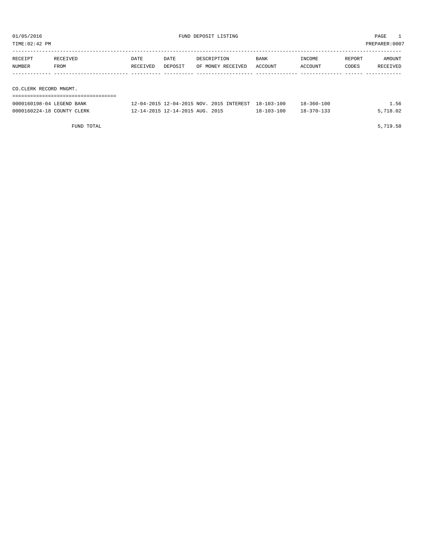| TIME: 02:42 PM                                          |                  |                                 |                                          |                                      |                                      |                 | PREPARER: 0007            |  |  |
|---------------------------------------------------------|------------------|---------------------------------|------------------------------------------|--------------------------------------|--------------------------------------|-----------------|---------------------------|--|--|
| RECEIVED<br>RECEIPT<br>NUMBER<br>FROM                   | DATE<br>RECEIVED | DATE<br>DEPOSIT                 | DESCRIPTION<br>OF MONEY RECEIVED         | BANK<br>ACCOUNT                      | INCOME<br>ACCOUNT                    | REPORT<br>CODES | AMOUNT<br><b>RECEIVED</b> |  |  |
| CO.CLERK RECORD MNGMT.                                  |                  |                                 |                                          |                                      |                                      |                 |                           |  |  |
| 0000160198-04 LEGEND BANK<br>0000160224-18 COUNTY CLERK |                  | 12-14-2015 12-14-2015 AUG. 2015 | 12-04-2015 12-04-2015 NOV. 2015 INTEREST | $18 - 103 - 100$<br>$18 - 103 - 100$ | $18 - 360 - 100$<br>$18 - 370 - 133$ |                 | 1.56<br>5,718.02          |  |  |

FUND TOTAL 5,719.58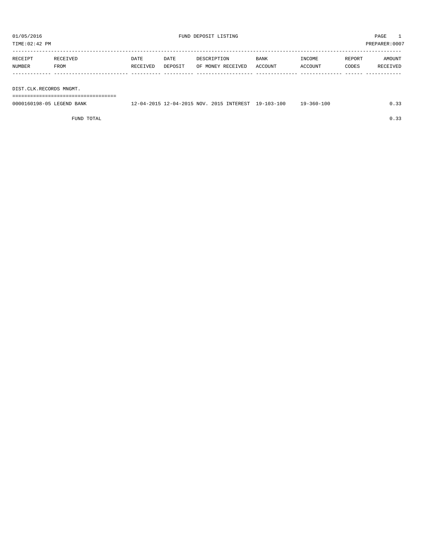TIME:02:42 PM PREPARER:0007

| RECEIPT | RECEIVED | <b>DATE</b> | DATE    | DESCRIPTION       | <b>BANK</b> | INCOME  | REPORT | AMOUNT   |
|---------|----------|-------------|---------|-------------------|-------------|---------|--------|----------|
| NUMBER  | FROM     | RECEIVED    | DEPOSIT | OF MONEY RECEIVED | ACCOUNT     | ACCOUNT | CODES  | RECEIVED |
|         |          |             |         |                   |             |         |        |          |
|         |          |             |         |                   |             |         |        |          |

DIST.CLK.RECORDS MNGMT.

===================================

| 0000160198-05 LEGEND BANK | 12-04-2015 12-04-2015 NOV. 2015 INTEREST 19-103-100 |  | 19-360-100 | 0.33 |
|---------------------------|-----------------------------------------------------|--|------------|------|
|                           |                                                     |  |            |      |

FUND TOTAL  $0.33$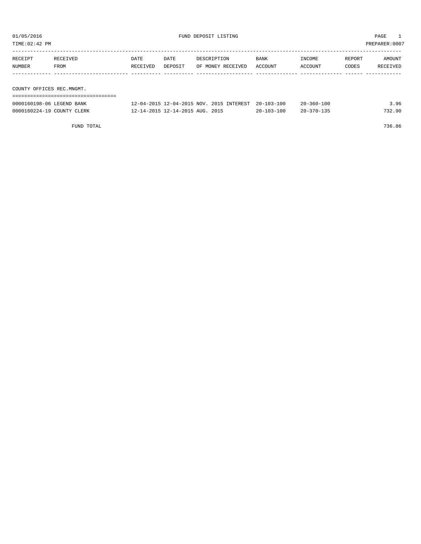| PREPARER: 0007<br>TIME:02:42 PM |                  |                  |                 |                                                     |                 |                          |                 |                    |  |
|---------------------------------|------------------|------------------|-----------------|-----------------------------------------------------|-----------------|--------------------------|-----------------|--------------------|--|
| RECEIPT<br>NUMBER               | RECEIVED<br>FROM | DATE<br>RECEIVED | DATE<br>DEPOSIT | DESCRIPTION<br>OF MONEY RECEIVED                    | BANK<br>ACCOUNT | <b>TNCOME</b><br>ACCOUNT | REPORT<br>CODES | AMOUNT<br>RECEIVED |  |
|                                 |                  |                  |                 |                                                     |                 |                          |                 |                    |  |
| COUNTY OFFICES REC.MNGMT.       |                  |                  |                 |                                                     |                 |                          |                 |                    |  |
|                                 |                  |                  |                 |                                                     |                 |                          |                 |                    |  |
| 0000160198-06 LEGEND BANK       |                  |                  |                 | 12-04-2015 12-04-2015 NOV. 2015 INTEREST 20-103-100 |                 | $20 - 360 - 100$         |                 | 3.96               |  |

0000160224-19 COUNTY CLERK 12-14-2015 12-14-2015 AUG. 2015 20-103-100 20-370-135 732.90

FUND TOTAL 736.86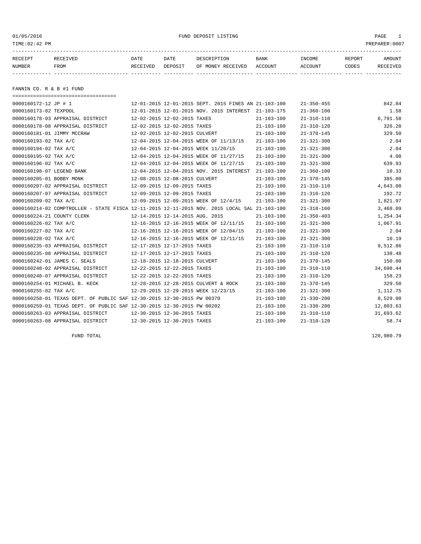| 01/05/2016<br>TIME:02:42 PM |                                    |          |                                      | PAGE<br>PREPARER: 0007                               |                  |                  |        |          |
|-----------------------------|------------------------------------|----------|--------------------------------------|------------------------------------------------------|------------------|------------------|--------|----------|
|                             |                                    |          |                                      |                                                      |                  |                  |        |          |
| RECEIPT                     | RECEIVED                           | DATE     | DATE                                 | DESCRIPTION                                          | BANK             | INCOME           | REPORT | AMOUNT   |
| NUMBER                      | FROM                               | RECEIVED | DEPOSIT                              | OF MONEY RECEIVED                                    | ACCOUNT          | ACCOUNT          | CODES  | RECEIVED |
|                             |                                    |          |                                      |                                                      |                  |                  |        |          |
|                             |                                    |          |                                      |                                                      |                  |                  |        |          |
| FANNIN CO. R & B #1 FUND    |                                    |          |                                      |                                                      |                  |                  |        |          |
|                             | ================================== |          |                                      |                                                      |                  |                  |        |          |
| 0000160172-12 JP # 1        |                                    |          |                                      | 12-01-2015 12-01-2015 SEPT. 2015 FINES AN 21-103-100 |                  | $21 - 350 - 455$ |        | 842.84   |
| 0000160173-02 TEXPOOL       |                                    |          |                                      | 12-01-2015 12-01-2015 NOV. 2015 INTEREST 21-103-175  |                  | $21 - 360 - 100$ |        | 1.58     |
|                             | 0000160178-03 APPRAISAL DISTRICT   |          | 12-02-2015 12-02-2015 TAXES          |                                                      | $21 - 103 - 100$ | $21 - 310 - 110$ |        | 6,791.58 |
|                             | 0000160178-08 APPRAISAL DISTRICT   |          | 12-02-2015 12-02-2015 TAXES          |                                                      | $21 - 103 - 100$ | $21 - 310 - 120$ |        | 326.28   |
|                             | COOLLAGE OF THEMSE MOODLE          |          | $10.02.015$ $10.02.015$ $2015$ $201$ |                                                      | 01 102 100       | 21.270.145       |        | 220 FO   |

|                            | 0000160178-08 APPRAISAL DISTRICT                                                             |                                 | 12-02-2015 12-02-2015 TAXES |                                          | 21-103-100       | 21-310-120       | 326.28    |
|----------------------------|----------------------------------------------------------------------------------------------|---------------------------------|-----------------------------|------------------------------------------|------------------|------------------|-----------|
| 0000160181-01 JIMMY MCCRAW |                                                                                              | 12-02-2015 12-02-2015 CULVERT   |                             |                                          | $21 - 103 - 100$ | $21 - 370 - 145$ | 329.50    |
| 0000160193-02 TAX A/C      |                                                                                              |                                 |                             | 12-04-2015 12-04-2015 WEEK OF 11/13/15   | $21 - 103 - 100$ | $21 - 321 - 300$ | 2.04      |
| 0000160194-02 TAX A/C      |                                                                                              |                                 |                             | 12-04-2015 12-04-2015 WEEK 11/20/15      | $21 - 103 - 100$ | $21 - 321 - 300$ | 2.04      |
| 0000160195-02 TAX A/C      |                                                                                              |                                 |                             | 12-04-2015 12-04-2015 WEEK OF 11/27/15   | $21 - 103 - 100$ | $21 - 321 - 300$ | 4.08      |
| 0000160196-02 TAX A/C      |                                                                                              |                                 |                             | 12-04-2015 12-04-2015 WEEK OF 11/27/15   | $21 - 103 - 100$ | $21 - 321 - 300$ | 639.93    |
| 0000160198-07 LEGEND BANK  |                                                                                              |                                 |                             | 12-04-2015 12-04-2015 NOV. 2015 INTEREST | $21 - 103 - 100$ | $21 - 360 - 100$ | 10.33     |
| 0000160205-01 BOBBY MONK   |                                                                                              | 12-08-2015 12-08-2015 CULVERT   |                             |                                          | $21 - 103 - 100$ | $21 - 370 - 145$ | 385.00    |
|                            | 0000160207-02 APPRAISAL DISTRICT                                                             | 12-09-2015 12-09-2015 TAXES     |                             |                                          | $21 - 103 - 100$ | $21 - 310 - 110$ | 4,643.08  |
|                            | 0000160207-07 APPRAISAL DISTRICT                                                             | 12-09-2015 12-09-2015 TAXES     |                             |                                          | $21 - 103 - 100$ | $21 - 310 - 120$ | 192.72    |
| 0000160209-02 TAX A/C      |                                                                                              |                                 |                             | 12-09-2015 12-09-2015 WEEK OF 12/4/15    | $21 - 103 - 100$ | $21 - 321 - 300$ | 1,821.97  |
|                            | 0000160214-02 COMPTROLLER - STATE FISCA 12-11-2015 12-11-2015 NOV. 2015 LOCAL SAL 21-103-100 |                                 |                             |                                          |                  | $21 - 318 - 160$ | 3,468.09  |
| 0000160224-21 COUNTY CLERK |                                                                                              | 12-14-2015 12-14-2015 AUG. 2015 |                             |                                          | $21 - 103 - 100$ | $21 - 350 - 403$ | 1,254.34  |
| 0000160226-02 TAX A/C      |                                                                                              |                                 |                             | 12-16-2015 12-16-2015 WEEK OF 12/11/15   | $21 - 103 - 100$ | $21 - 321 - 300$ | 1,067.91  |
| 0000160227-02 TAX A/C      |                                                                                              |                                 |                             | 12-16-2015 12-16-2015 WEEK OF 12/04/15   | $21 - 103 - 100$ | $21 - 321 - 300$ | 2.04      |
| 0000160228-02 TAX A/C      |                                                                                              |                                 |                             | 12-16-2015 12-16-2015 WEEK OF 12/11/15   | $21 - 103 - 100$ | $21 - 321 - 300$ | 10.19     |
|                            | 0000160235-03 APPRAISAL DISTRICT                                                             | 12-17-2015 12-17-2015 TAXES     |                             |                                          | $21 - 103 - 100$ | $21 - 310 - 110$ | 9,512.86  |
|                            | 0000160235-08 APPRAISAL DISTRICT                                                             | 12-17-2015 12-17-2015 TAXES     |                             |                                          | $21 - 103 - 100$ | $21 - 310 - 120$ | 138.48    |
|                            | 0000160242-01 JAMES C. SEALS                                                                 | 12-18-2015 12-18-2015 CULVERT   |                             |                                          | $21 - 103 - 100$ | $21 - 370 - 145$ | 150.00    |
|                            | 0000160248-02 APPRAISAL DISTRICT                                                             | 12-22-2015 12-22-2015 TAXES     |                             |                                          | $21 - 103 - 100$ | $21 - 310 - 110$ | 34,698.44 |
|                            | 0000160248-07 APPRAISAL DISTRICT                                                             | 12-22-2015 12-22-2015 TAXES     |                             |                                          | $21 - 103 - 100$ | $21 - 310 - 120$ | 158.23    |
|                            | 0000160254-01 MICHAEL B. KECK                                                                |                                 |                             | 12-28-2015 12-28-2015 CULVERT & ROCK     | $21 - 103 - 100$ | $21 - 370 - 145$ | 329.50    |
| 0000160255-02 TAX A/C      |                                                                                              |                                 |                             | 12-29-2015 12-29-2015 WEEK 12/23/15      | $21 - 103 - 100$ | $21 - 321 - 300$ | 1,112.75  |
|                            | 0000160258-01 TEXAS DEPT. OF PUBLIC SAF 12-30-2015 12-30-2015 PW 00370                       |                                 |                             |                                          | $21 - 103 - 100$ | $21 - 330 - 200$ | 8,529.00  |
|                            | 0000160259-01 TEXAS DEPT. OF PUBLIC SAF 12-30-2015 12-30-2015 PW 00202                       |                                 |                             |                                          | $21 - 103 - 100$ | $21 - 330 - 200$ | 12,803.63 |
|                            | 0000160263-03 APPRAISAL DISTRICT                                                             | 12-30-2015 12-30-2015 TAXES     |                             |                                          | $21 - 103 - 100$ | $21 - 310 - 110$ | 31,693.62 |
|                            | 0000160263-08 APPRAISAL DISTRICT                                                             | 12-30-2015 12-30-2015 TAXES     |                             |                                          | $21 - 103 - 100$ | $21 - 310 - 120$ | 58.74     |
|                            |                                                                                              |                                 |                             |                                          |                  |                  |           |

FUND TOTAL 120,980.79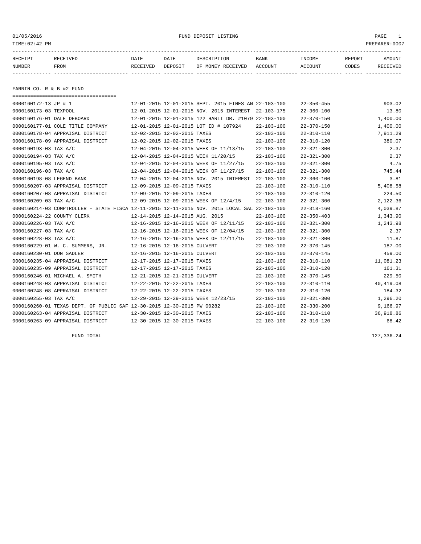01/05/2016 FUND DEPOSIT LISTING PAGE 1

| RECEIPT | RECEIVED | DATE     | DATE    | DESCRIPTION       | <b>BANK</b> | INCOME  | <b>REPORT</b> | AMOUNT          |
|---------|----------|----------|---------|-------------------|-------------|---------|---------------|-----------------|
| NUMBER  | FROM     | RECEIVED | DEPOSIT | OF MONEY RECEIVED | ACCOUNT     | ACCOUNT | CODES         | <b>RECEIVED</b> |
|         |          |          |         |                   |             |         |               |                 |

FANNIN CO. R & B #2 FUND

| ======================================                                                       |                                 |                                                      |                  |                  |           |
|----------------------------------------------------------------------------------------------|---------------------------------|------------------------------------------------------|------------------|------------------|-----------|
| 0000160172-13 JP # 1                                                                         |                                 | 12-01-2015 12-01-2015 SEPT. 2015 FINES AN 22-103-100 |                  | $22 - 350 - 455$ | 903.02    |
| 0000160173-03 TEXPOOL                                                                        |                                 | 12-01-2015 12-01-2015 NOV. 2015 INTEREST             | 22-103-175       | $22 - 360 - 100$ | 13.80     |
| 0000160176-01 DALE DEBOARD                                                                   |                                 | 12-01-2015 12-01-2015 122 HARLI DR. #1079 22-103-100 |                  | $22 - 370 - 150$ | 1,400.00  |
| 0000160177-01 COLE TITLE COMPANY                                                             |                                 | 12-01-2015 12-01-2015 LOT ID # 107924                | $22 - 103 - 100$ | $22 - 370 - 150$ | 1,400.00  |
| 0000160178-04 APPRAISAL DISTRICT                                                             | 12-02-2015 12-02-2015 TAXES     |                                                      | $22 - 103 - 100$ | $22 - 310 - 110$ | 7,911.29  |
| 0000160178-09 APPRAISAL DISTRICT                                                             | 12-02-2015 12-02-2015 TAXES     |                                                      | $22 - 103 - 100$ | $22 - 310 - 120$ | 380.07    |
| 0000160193-03 TAX A/C                                                                        |                                 | 12-04-2015 12-04-2015 WEEK OF 11/13/15               | $22 - 103 - 100$ | $22 - 321 - 300$ | 2.37      |
| 0000160194-03 TAX A/C                                                                        |                                 | 12-04-2015 12-04-2015 WEEK 11/20/15                  | $22 - 103 - 100$ | $22 - 321 - 300$ | 2.37      |
| 0000160195-03 TAX A/C                                                                        |                                 | 12-04-2015 12-04-2015 WEEK OF 11/27/15               | $22 - 103 - 100$ | $22 - 321 - 300$ | 4.75      |
| 0000160196-03 TAX A/C                                                                        |                                 | 12-04-2015 12-04-2015 WEEK OF 11/27/15               | $22 - 103 - 100$ | $22 - 321 - 300$ | 745.44    |
| 0000160198-08 LEGEND BANK                                                                    |                                 | 12-04-2015 12-04-2015 NOV. 2015 INTEREST             | $22 - 103 - 100$ | $22 - 360 - 100$ | 3.81      |
| 0000160207-03 APPRAISAL DISTRICT                                                             | 12-09-2015 12-09-2015 TAXES     |                                                      | $22 - 103 - 100$ | $22 - 310 - 110$ | 5,408.58  |
| 0000160207-08 APPRAISAL DISTRICT                                                             | 12-09-2015 12-09-2015 TAXES     |                                                      | $22 - 103 - 100$ | $22 - 310 - 120$ | 224.50    |
| 0000160209-03 TAX A/C                                                                        |                                 | 12-09-2015 12-09-2015 WEEK OF 12/4/15                | $22 - 103 - 100$ | $22 - 321 - 300$ | 2,122.36  |
| 0000160214-03 COMPTROLLER - STATE FISCA 12-11-2015 12-11-2015 NOV. 2015 LOCAL SAL 22-103-100 |                                 |                                                      |                  | $22 - 318 - 160$ | 4,039.87  |
| 0000160224-22 COUNTY CLERK                                                                   | 12-14-2015 12-14-2015 AUG. 2015 |                                                      | $22 - 103 - 100$ | $22 - 350 - 403$ | 1,343.90  |
| 0000160226-03 TAX A/C                                                                        |                                 | 12-16-2015 12-16-2015 WEEK OF 12/11/15               | $22 - 103 - 100$ | $22 - 321 - 300$ | 1,243.98  |
| 0000160227-03 TAX A/C                                                                        |                                 | 12-16-2015 12-16-2015 WEEK OF 12/04/15               | $22 - 103 - 100$ | $22 - 321 - 300$ | 2.37      |
| 0000160228-03 TAX A/C                                                                        |                                 | 12-16-2015 12-16-2015 WEEK OF 12/11/15               | $22 - 103 - 100$ | $22 - 321 - 300$ | 11.87     |
| 0000160229-01 W. C. SUMMERS, JR.                                                             | 12-16-2015 12-16-2015 CULVERT   |                                                      | $22 - 103 - 100$ | $22 - 370 - 145$ | 187.00    |
| 0000160230-01 DON SADLER                                                                     | 12-16-2015 12-16-2015 CULVERT   |                                                      | $22 - 103 - 100$ | $22 - 370 - 145$ | 459.00    |
| 0000160235-04 APPRAISAL DISTRICT                                                             | 12-17-2015 12-17-2015 TAXES     |                                                      | $22 - 103 - 100$ | $22 - 310 - 110$ | 11,081.23 |
| 0000160235-09 APPRAISAL DISTRICT                                                             | 12-17-2015 12-17-2015 TAXES     |                                                      | $22 - 103 - 100$ | $22 - 310 - 120$ | 161.31    |
| 0000160246-01 MICHAEL A. SMITH                                                               | 12-21-2015 12-21-2015 CULVERT   |                                                      | $22 - 103 - 100$ | $22 - 370 - 145$ | 229.50    |
| 0000160248-03 APPRAISAL DISTRICT                                                             | 12-22-2015 12-22-2015 TAXES     |                                                      | $22 - 103 - 100$ | $22 - 310 - 110$ | 40,419.08 |
| 0000160248-08 APPRAISAL DISTRICT                                                             | 12-22-2015 12-22-2015 TAXES     |                                                      | $22 - 103 - 100$ | $22 - 310 - 120$ | 184.32    |
| 0000160255-03 TAX A/C                                                                        |                                 | 12-29-2015 12-29-2015 WEEK 12/23/15                  | $22 - 103 - 100$ | $22 - 321 - 300$ | 1,296.20  |
| 0000160260-01 TEXAS DEPT. OF PUBLIC SAF 12-30-2015 12-30-2015 PW 00282                       |                                 |                                                      | $22 - 103 - 100$ | $22 - 330 - 200$ | 9,166.97  |
| 0000160263-04 APPRAISAL DISTRICT                                                             | 12-30-2015 12-30-2015 TAXES     |                                                      | $22 - 103 - 100$ | $22 - 310 - 110$ | 36,918.86 |
| 0000160263-09 APPRAISAL DISTRICT                                                             | 12-30-2015 12-30-2015 TAXES     |                                                      | $22 - 103 - 100$ | $22 - 310 - 120$ | 68.42     |

FUND TOTAL 127,336.24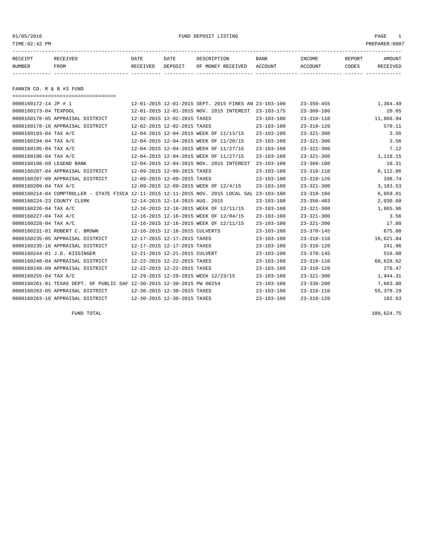01/05/2016 FUND DEPOSIT LISTING PAGE 1

| RECEIPT | RECEIVED | DATE     | DATE    | DESCRIPTION       | <b>BANK</b> | INCOME  | REPORT | AMOUNT          |
|---------|----------|----------|---------|-------------------|-------------|---------|--------|-----------------|
| NUMBER  | FROM     | RECEIVED | DEPOSIT | OF MONEY RECEIVED | ACCOUNT     | ACCOUNT | CODES  | <b>RECEIVED</b> |
|         |          |          |         |                   |             |         |        |                 |

FANNIN CO. R & B #3 FUND

| -------------------------------------                                  |                                                                                              |                  |                  |            |
|------------------------------------------------------------------------|----------------------------------------------------------------------------------------------|------------------|------------------|------------|
| 0000160172-14 JP # 1                                                   | 12-01-2015 12-01-2015 SEPT. 2015 FINES AN 23-103-100                                         |                  | $23 - 350 - 455$ | 1,364.49   |
| 0000160173-04 TEXPOOL                                                  | 12-01-2015 12-01-2015 NOV. 2015 INTEREST                                                     | $23 - 103 - 175$ | $23 - 360 - 100$ | 20.65      |
| 0000160178-05 APPRAISAL DISTRICT                                       | 12-02-2015 12-02-2015 TAXES                                                                  | $23 - 103 - 100$ | $23 - 310 - 110$ | 11,866.94  |
| 0000160178-10 APPRAISAL DISTRICT                                       | 12-02-2015 12-02-2015 TAXES                                                                  | $23 - 103 - 100$ | $23 - 310 - 120$ | 570.11     |
| 0000160193-04 TAX A/C                                                  | 12-04-2015 12-04-2015 WEEK OF 11/13/15                                                       | $23 - 103 - 100$ | $23 - 321 - 300$ | 3.56       |
| 0000160194-04 TAX A/C                                                  | 12-04-2015 12-04-2015 WEEK OF 11/20/15                                                       | $23 - 103 - 100$ | $23 - 321 - 300$ | 3.56       |
| 0000160195-04 TAX A/C                                                  | 12-04-2015 12-04-2015 WEEK OF 11/27/15                                                       | $23 - 103 - 100$ | $23 - 321 - 300$ | 7.12       |
| 0000160196-04 TAX A/C                                                  | 12-04-2015 12-04-2015 WEEK OF 11/27/15                                                       | $23 - 103 - 100$ | $23 - 321 - 300$ | 1,118.15   |
| 0000160198-09 LEGEND BANK                                              | 12-04-2015 12-04-2015 NOV. 2015 INTEREST                                                     | $23 - 103 - 100$ | $23 - 360 - 100$ | 10.31      |
| 0000160207-04 APPRAISAL DISTRICT                                       | 12-09-2015 12-09-2015 TAXES                                                                  | $23 - 103 - 100$ | $23 - 310 - 110$ | 8,112.86   |
| 0000160207-09 APPRAISAL DISTRICT                                       | 12-09-2015 12-09-2015 TAXES                                                                  | $23 - 103 - 100$ | $23 - 310 - 120$ | 336.74     |
| 0000160209-04 TAX A/C                                                  | 12-09-2015 12-09-2015 WEEK OF 12/4/15                                                        | $23 - 103 - 100$ | $23 - 321 - 300$ | 3,183.53   |
|                                                                        | 0000160214-04 COMPTROLLER - STATE FISCA 12-11-2015 12-11-2015 NOV. 2015 LOCAL SAL 23-103-100 |                  | $23 - 318 - 160$ | 6,059.81   |
| 0000160224-23 COUNTY CLERK                                             | 12-14-2015 12-14-2015 AUG. 2015                                                              | $23 - 103 - 100$ | $23 - 350 - 403$ | 2,030.68   |
| 0000160226-04 TAX A/C                                                  | 12-16-2015 12-16-2015 WEEK OF 12/11/15                                                       | $23 - 103 - 100$ | $23 - 321 - 300$ | 1,865.96   |
| 0000160227-04 TAX A/C                                                  | 12-16-2015 12-16-2015 WEEK OF 12/04/15                                                       | $23 - 103 - 100$ | $23 - 321 - 300$ | 3.56       |
| 0000160228-04 TAX A/C                                                  | 12-16-2015 12-16-2015 WEEK OF 12/11/15                                                       | $23 - 103 - 100$ | $23 - 321 - 300$ | 17.80      |
| 0000160231-01 ROBERT C. BROWN                                          | 12-16-2015 12-16-2015 CULVERTS                                                               | $23 - 103 - 100$ | $23 - 370 - 145$ | 675.00     |
| 0000160235-05 APPRAISAL DISTRICT                                       | 12-17-2015 12-17-2015 TAXES                                                                  | $23 - 103 - 100$ | $23 - 310 - 110$ | 16,621.84  |
| 0000160235-10 APPRAISAL DISTRICT                                       | 12-17-2015 12-17-2015 TAXES                                                                  | $23 - 103 - 100$ | $23 - 310 - 120$ | 241.96     |
| 0000160244-01 J.D. KISSINGER                                           | 12-21-2015 12-21-2015 CULVERT                                                                | $23 - 103 - 100$ | $23 - 370 - 145$ | 516.00     |
| 0000160248-04 APPRAISAL DISTRICT                                       | 12-22-2015 12-22-2015 TAXES                                                                  | $23 - 103 - 100$ | $23 - 310 - 110$ | 60,628.62  |
| 0000160248-09 APPRAISAL DISTRICT                                       | 12-22-2015 12-22-2015 TAXES                                                                  | $23 - 103 - 100$ | $23 - 310 - 120$ | 276.47     |
| 0000160255-04 TAX A/C                                                  | 12-29-2015 12-29-2015 WEEK 12/23/15                                                          | $23 - 103 - 100$ | $23 - 321 - 300$ | 1,944.31   |
| 0000160261-01 TEXAS DEPT. OF PUBLIC SAF 12-30-2015 12-30-2015 PW 00254 |                                                                                              | $23 - 103 - 100$ | $23 - 330 - 200$ | 7,663.80   |
| 0000160263-05 APPRAISAL DISTRICT                                       | 12-30-2015 12-30-2015 TAXES                                                                  | $23 - 103 - 100$ | $23 - 310 - 110$ | 55, 378.29 |
| 0000160263-10 APPRAISAL DISTRICT                                       | 12-30-2015 12-30-2015 TAXES                                                                  | $23 - 103 - 100$ | $23 - 310 - 120$ | 102.63     |
|                                                                        |                                                                                              |                  |                  |            |

FUND TOTAL 180,624.75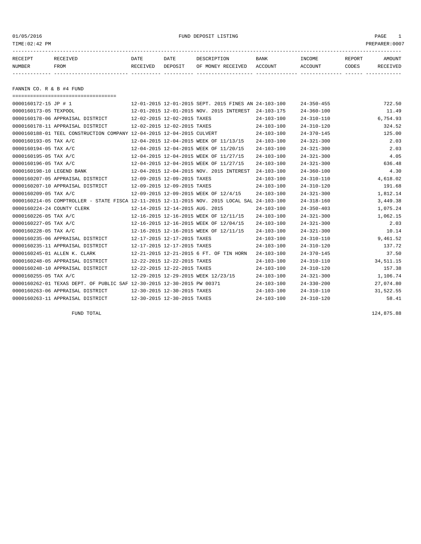| TIME: 02:42 PM            |                                                                       |                             |                             |                                                      |                  |                  |        | PREPARER: 0007 |
|---------------------------|-----------------------------------------------------------------------|-----------------------------|-----------------------------|------------------------------------------------------|------------------|------------------|--------|----------------|
| RECEIPT                   | RECEIVED                                                              | DATE                        | DATE                        | DESCRIPTION                                          | <b>BANK</b>      | INCOME           | REPORT | AMOUNT         |
| NUMBER                    | FROM                                                                  | RECEIVED                    | DEPOSIT                     | OF MONEY RECEIVED                                    | ACCOUNT          | ACCOUNT          | CODES  | RECEIVED       |
|                           |                                                                       |                             |                             |                                                      |                  |                  |        |                |
| FANNIN CO. R & B #4 FUND  |                                                                       |                             |                             |                                                      |                  |                  |        |                |
|                           |                                                                       |                             |                             |                                                      |                  |                  |        |                |
| 0000160172-15 JP # 1      |                                                                       |                             |                             | 12-01-2015 12-01-2015 SEPT. 2015 FINES AN 24-103-100 |                  | $24 - 350 - 455$ |        | 722.50         |
| 0000160173-05 TEXPOOL     |                                                                       |                             |                             | 12-01-2015 12-01-2015 NOV. 2015 INTEREST 24-103-175  |                  | $24 - 360 - 100$ |        | 11.49          |
|                           | 0000160178-06 APPRAISAL DISTRICT                                      | 12-02-2015 12-02-2015 TAXES |                             |                                                      | $24 - 103 - 100$ | $24 - 310 - 110$ |        | 6,754.93       |
|                           | 0000160178-11 APPRAISAL DISTRICT                                      |                             | 12-02-2015 12-02-2015 TAXES |                                                      | $24 - 103 - 100$ | $24 - 310 - 120$ |        | 324.52         |
|                           | 0000160188-01 TEEL CONSTRUCTION COMPANY 12-04-2015 12-04-2015 CULVERT |                             |                             |                                                      | $24 - 103 - 100$ | $24 - 370 - 145$ |        | 125.00         |
| 0000160193-05 TAX A/C     |                                                                       |                             |                             | 12-04-2015 12-04-2015 WEEK OF 11/13/15               | $24 - 103 - 100$ | $24 - 321 - 300$ |        | 2.03           |
| 0000160194-05 TAX A/C     |                                                                       |                             |                             | 12-04-2015 12-04-2015 WEEK OF 11/20/15               | $24 - 103 - 100$ | $24 - 321 - 300$ |        | 2.03           |
| 0000160195-05 TAX A/C     |                                                                       |                             |                             | 12-04-2015 12-04-2015 WEEK OF 11/27/15               | 24-103-100       | $24 - 321 - 300$ |        | 4.05           |
| 0000160196-05 TAX A/C     |                                                                       |                             |                             | 12-04-2015 12-04-2015 WEEK OF 11/27/15               | 24-103-100       | $24 - 321 - 300$ |        | 636.48         |
| 0000160198-10 LEGEND BANK |                                                                       |                             |                             | 12-04-2015 12-04-2015 NOV. 2015 INTEREST             | $24 - 103 - 100$ | $24 - 360 - 100$ |        | 4.30           |

0000160207-05 APPRAISAL DISTRICT 12-09-2015 12-09-2015 TAXES 24-103-100 24-310-110 4,618.02 0000160207-10 APPRAISAL DISTRICT 12-09-2015 12-09-2015 TAXES 24-103-100 24-310-120 191.68 0000160209-05 TAX A/C 12-09-2015 12-09-2015 WEEK OF 12/4/15 24-103-100 24-321-300 1,812.14 0000160214-05 COMPTROLLER - STATE FISCA 12-11-2015 12-11-2015 NOV. 2015 LOCAL SAL 24-103-100 24-318-160 3,449.38 0000160224-24 COUNTY CLERK 12-14-2015 12-14-2015 AUG. 2015 24-103-100 24-350-403 1,075.24 0000160226-05 TAX A/C 12-16-2015 12-16-2015 WEEK OF 12/11/15 24-103-100 24-321-300 1,062.15 0000160227-05 TAX A/C 12-16-2015 12-16-2015 WEEK OF 12/04/15 24-103-100 24-321-300 2.03 0000160228-05 TAX A/C 12-16-2015 12-16-2015 WEEK OF 12/11/15 24-103-100 24-321-300 10.14 0000160235-06 APPRAISAL DISTRICT 12-17-2015 12-17-2015 TAXES 24-103-100 24-310-110 9,461.52 0000160235-11 APPRAISAL DISTRICT 12-17-2015 12-17-2015 TAXES 24-103-100 24-310-120 137.72 0000160245-01 ALLEN K. CLARK 12-21-2015 12-21-2015 6 FT. OF TIN HORN 24-103-100 24-370-145 37.50 0000160248-05 APPRAISAL DISTRICT 12-22-2015 12-22-2015 TAXES 24-103-100 24-310-110 34,511.15 0000160248-10 APPRAISAL DISTRICT 12-22-2015 12-22-2015 TAXES 24-103-100 24-310-120 157.38 0000160255-05 TAX A/C 12-29-2015 12-29-2015 WEEK 12/23/15 24-103-100 24-321-300 1,106.74 0000160262-01 TEXAS DEPT. OF PUBLIC SAF 12-30-2015 12-30-2015 PW 00371 24-103-100 24-330-200 27,074.80 0000160263-06 APPRAISAL DISTRICT 12-30-2015 12-30-2015 TAXES 24-103-100 24-310-110 31,522.55 0000160263-11 APPRAISAL DISTRICT 12-30-2015 12-30-2015 TAXES 24-103-100 24-310-120 58.41

FUND TOTAL 124,875.88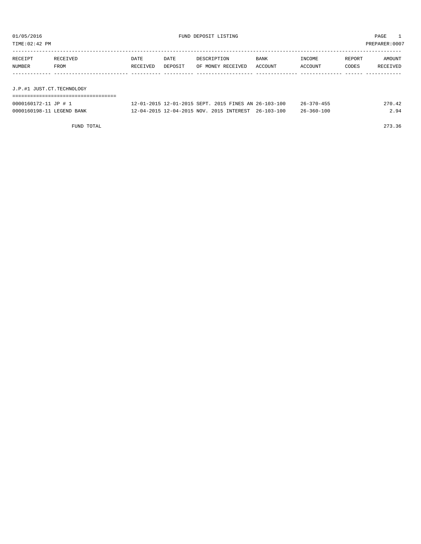TIME:02:42 PM PREPARER:0007

| RECEIPT                   | RECEIVED | DATE     | DATE    | DESCRIPTION       | <b>BANK</b> | INCOME  | REPORT | AMOUNT   |
|---------------------------|----------|----------|---------|-------------------|-------------|---------|--------|----------|
| NUMBER                    | FROM     | RECEIVED | DEPOSIT | OF MONEY RECEIVED | ACCOUNT     | ACCOUNT | CODES  | RECEIVED |
|                           |          |          |         |                   |             |         |        |          |
|                           |          |          |         |                   |             |         |        |          |
| J.P.#1 JUST.CT.TECHNOLOGY |          |          |         |                   |             |         |        |          |

| 0000160172-11 JP # 1      | 12-01-2015 12-01-2015 SEPT. 2015 FINES AN 26-103-100 | $26 - 370 - 455$ | 270.42 |
|---------------------------|------------------------------------------------------|------------------|--------|
| 0000160198-11 LEGEND BANK | 12-04-2015 12-04-2015 NOV. 2015 INTEREST 26-103-100  | $26 - 360 - 100$ | 2.94   |

FUND TOTAL 273.36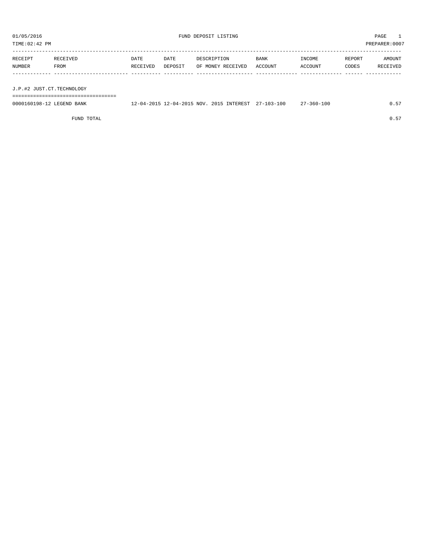| TIME: 02:42 PM            |          |          |         |             |                                                     |         |                  |        | PREPARER:0007 |
|---------------------------|----------|----------|---------|-------------|-----------------------------------------------------|---------|------------------|--------|---------------|
|                           |          |          |         |             |                                                     |         |                  |        |               |
| RECEIPT                   | RECEIVED | DATE     | DATE    | DESCRIPTION |                                                     | BANK    | INCOME           | REPORT | AMOUNT        |
| NUMBER                    | FROM     | RECEIVED | DEPOSIT |             | OF MONEY RECEIVED                                   | ACCOUNT | ACCOUNT          | CODES  | RECEIVED      |
|                           |          |          |         |             |                                                     |         |                  |        |               |
|                           |          |          |         |             |                                                     |         |                  |        |               |
| J.P.#2 JUST.CT.TECHNOLOGY |          |          |         |             |                                                     |         |                  |        |               |
|                           |          |          |         |             |                                                     |         |                  |        |               |
| 0000160198-12 LEGEND BANK |          |          |         |             | 12-04-2015 12-04-2015 NOV. 2015 INTEREST 27-103-100 |         | $27 - 360 - 100$ |        | 0.57          |

FUND TOTAL  $0.57$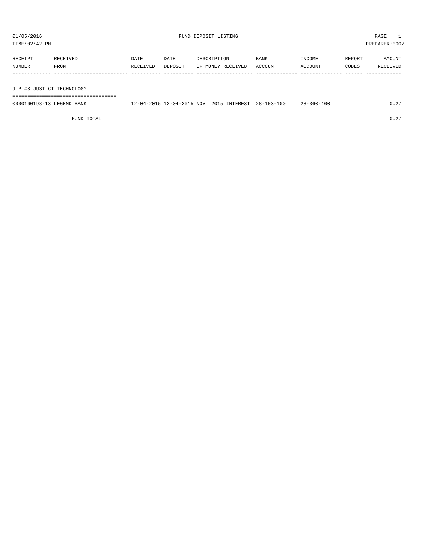| TIME:02:42 PM             |          |          |         |             |                                                     |             |                  |        | PREPARER:0007 |
|---------------------------|----------|----------|---------|-------------|-----------------------------------------------------|-------------|------------------|--------|---------------|
|                           |          |          |         |             |                                                     |             |                  |        |               |
| RECEIPT                   | RECEIVED | DATE     | DATE    | DESCRIPTION |                                                     | <b>BANK</b> | INCOME           | REPORT | AMOUNT        |
| NUMBER                    | FROM     | RECEIVED | DEPOSIT |             | OF MONEY RECEIVED                                   | ACCOUNT     | ACCOUNT          | CODES  | RECEIVED      |
|                           |          |          |         |             |                                                     |             |                  |        |               |
|                           |          |          |         |             |                                                     |             |                  |        |               |
| J.P.#3 JUST.CT.TECHNOLOGY |          |          |         |             |                                                     |             |                  |        |               |
|                           |          |          |         |             |                                                     |             |                  |        |               |
| 0000160198-13 LEGEND BANK |          |          |         |             | 12-04-2015 12-04-2015 NOV. 2015 INTEREST 28-103-100 |             | $28 - 360 - 100$ |        | 0.27          |
|                           |          |          |         |             |                                                     |             |                  |        |               |

FUND TOTAL  $0.27$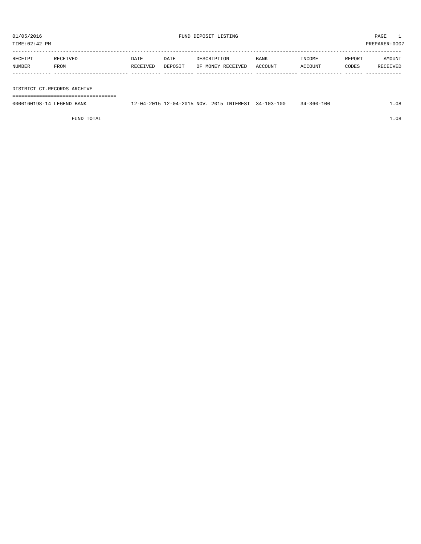TIME:02:42 PM PREPARER:0007

| RECEIPT | RECEIVED | <b>DATE</b> | DATE    | DESCRIPTION       | <b>BANK</b> | INCOME  | REPORT | AMOUNT   |
|---------|----------|-------------|---------|-------------------|-------------|---------|--------|----------|
| NUMBER  | FROM     | RECEIVED    | DEPOSIT | OF MONEY RECEIVED | ACCOUNT     | ACCOUNT | CODES  | RECEIVED |
|         |          |             |         |                   |             |         |        |          |
|         |          |             |         |                   |             |         |        |          |

DISTRICT CT.RECORDS ARCHIVE

===================================

| 0000160198-14 LEGEND BANK | 12-04-2015 12-04-2015 NOV, 2015 INTEREST 34-103-100 |  | $34 - 360 - 100$ | 1.08 |
|---------------------------|-----------------------------------------------------|--|------------------|------|
|                           |                                                     |  |                  |      |

FUND TOTAL  $1.08$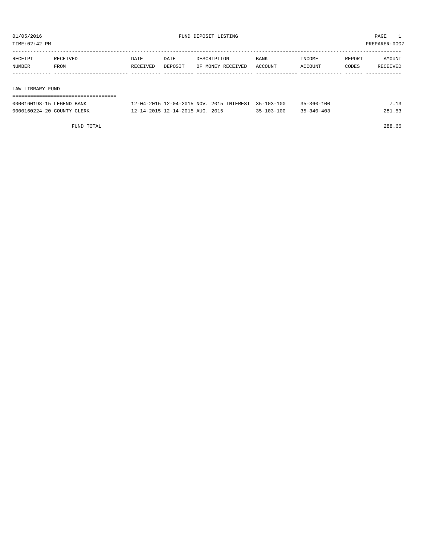TIME:02:42 PM PREPARER:0007

| RECEIPT          | RECEIVED | DATE     | DATE    | DESCRIPTION       | <b>BANK</b> | INCOME  | REPORT | AMOUNT   |
|------------------|----------|----------|---------|-------------------|-------------|---------|--------|----------|
| <b>NUMBER</b>    | FROM     | RECEIVED | DEPOSIT | OF MONEY RECEIVED | ACCOUNT     | ACCOUNT | CODES  | RECEIVED |
|                  |          |          |         |                   |             |         |        |          |
|                  |          |          |         |                   |             |         |        |          |
| LAW LIBRARY FUND |          |          |         |                   |             |         |        |          |

| 0000160198-15 LEGEND BANK  | 12-04-2015 12-04-2015 NOV. 2015 INTEREST 35-103-100 |                  | $35 - 360 - 100$ |        |
|----------------------------|-----------------------------------------------------|------------------|------------------|--------|
| 0000160224-20 COUNTY CLERK | 12-14-2015 12-14-2015 AUG. 2015                     | $35 - 103 - 100$ | $35 - 340 - 403$ | 281.53 |

FUND TOTAL 288.66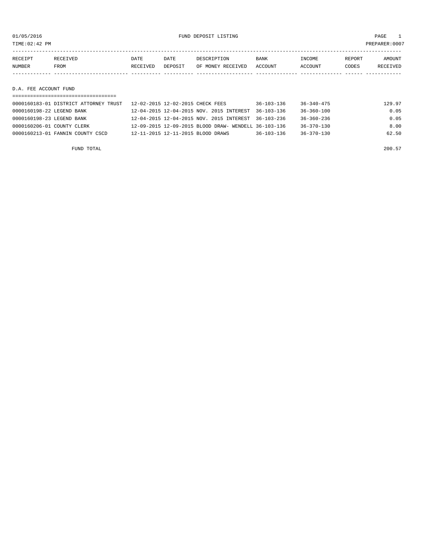01/05/2016 FUND DEPOSIT LISTING PAGE 1

| RECEIPT               | RECEIVED | DATE     | DATE    | DESCRIPTION       | BANK    | INCOME  | REPORT | AMOUNT   |
|-----------------------|----------|----------|---------|-------------------|---------|---------|--------|----------|
| NUMBER                | FROM     | RECEIVED | DEPOSIT | OF MONEY RECEIVED | ACCOUNT | ACCOUNT | CODES  | RECEIVED |
|                       |          |          |         |                   |         |         |        |          |
|                       |          |          |         |                   |         |         |        |          |
| D.A. FEE ACCOUNT FUND |          |          |         |                   |         |         |        |          |

| 0000160183-01 DISTRICT ATTORNEY TRUST | 12-02-2015 12-02-2015 CHECK FEES                     | $36 - 103 - 136$ | $36 - 340 - 475$ | 129.97 |
|---------------------------------------|------------------------------------------------------|------------------|------------------|--------|
| 0000160198-22 LEGEND BANK             | 12-04-2015 12-04-2015 NOV. 2015 INTEREST             | 36-103-136       | 36-360-100       | 0.05   |
| 0000160198-23 LEGEND BANK             | 12-04-2015 12-04-2015 NOV. 2015 INTEREST 36-103-236  |                  | $36 - 360 - 236$ | 0.05   |
| 0000160206-01 COUNTY CLERK            | 12-09-2015 12-09-2015 BLOOD DRAW- WENDELL 36-103-136 |                  | $36 - 370 - 130$ | 8.00   |
| $0000160213 - 01$ FANNIN COUNTY CSCD  | 12-11-2015 12-11-2015 BLOOD DRAWS                    | $36 - 103 - 136$ | $36 - 370 - 130$ | 62.50  |
|                                       |                                                      |                  |                  |        |

FUND TOTAL 200.57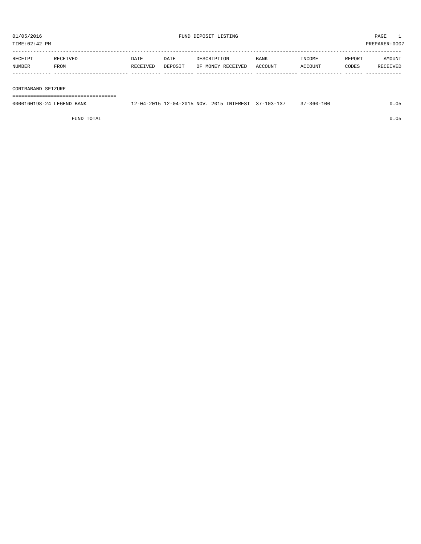| TIME:02:42 PM |          |          |         |                   |         |         |        | PREPARER:0007 |
|---------------|----------|----------|---------|-------------------|---------|---------|--------|---------------|
| RECEIPT       | RECEIVED | DATE     | DATE    | DESCRIPTION       | BANK    | INCOME  | REPORT | AMOUNT        |
| NUMBER        | FROM     | RECEIVED | DEPOSIT | OF MONEY RECEIVED | ACCOUNT | ACCOUNT | CODES  | RECEIVED      |
| AOMMINYENNIYN |          |          |         |                   |         |         |        |               |

CONTRABAND SEIZURE

===================================

| 0000160198-24 LEGEND BANK | 12-04-2015 12-04-2015 NOV. 2015 INTEREST 37-103-137 |  | $37 - 360 - 100$ | 0.05 |
|---------------------------|-----------------------------------------------------|--|------------------|------|
|                           |                                                     |  |                  |      |

FUND TOTAL 0.05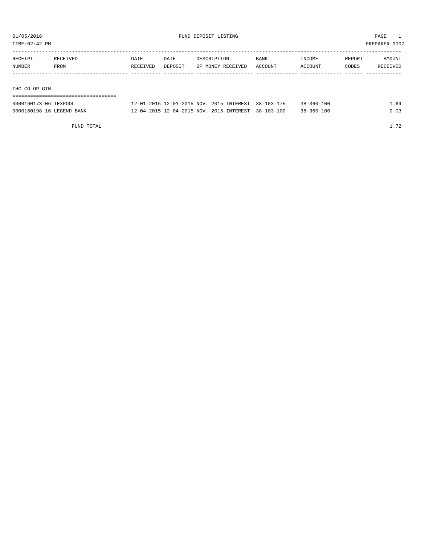TIME:02:42 PM PREPARER:0007

| RECEIPT       | RECEIVED | DATE     | DATE    | DESCRIPTION       | BANK    | INCOME  | REPORT | AMOUNT   |
|---------------|----------|----------|---------|-------------------|---------|---------|--------|----------|
| <b>NUMBER</b> | FROM     | RECEIVED | DEPOSIT | OF MONEY RECEIVED | ACCOUNT | ACCOUNT | CODES  | RECEIVED |
|               |          |          |         |                   |         |         |        |          |
|               |          |          |         |                   |         |         |        |          |

IHC CO-OP GIN

| =================================== |                                                     |  |                  |      |
|-------------------------------------|-----------------------------------------------------|--|------------------|------|
| 0000160173-06 TEXPOOL               | 12-01-2015 12-01-2015 NOV. 2015 INTEREST 38-103-175 |  | $38 - 360 - 100$ | 1.69 |
| 0000160198-16 LEGEND BANK           | 12-04-2015 12-04-2015 NOV. 2015 INTEREST 38-103-100 |  | $38 - 360 - 100$ | 0.03 |

FUND TOTAL 1.72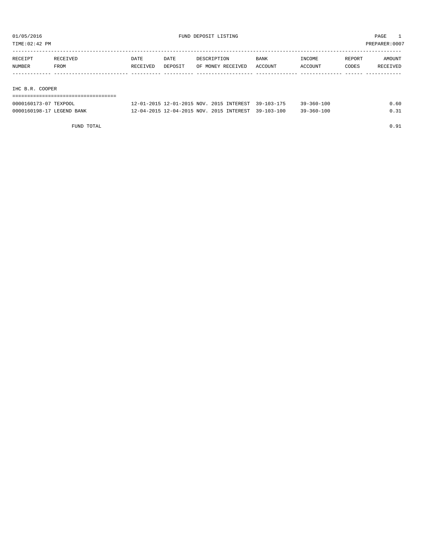TIME:02:42 PM PREPARER:0007

| RECEIPT               | RECEIVED | DATE     | DATE    | DESCRIPTION       | <b>BANK</b>                                         | INCOME           | REPORT | AMOUNT   |
|-----------------------|----------|----------|---------|-------------------|-----------------------------------------------------|------------------|--------|----------|
| NUMBER                | FROM     | RECEIVED | DEPOSIT | OF MONEY RECEIVED | ACCOUNT                                             | ACCOUNT          | CODES  | RECEIVED |
|                       |          |          |         |                   |                                                     |                  |        |          |
|                       |          |          |         |                   |                                                     |                  |        |          |
| IHC B.R. COOPER       |          |          |         |                   |                                                     |                  |        |          |
|                       |          |          |         |                   |                                                     |                  |        |          |
| 0000160173-07 TEXPOOL |          |          |         |                   | 12-01-2015 12-01-2015 NOV. 2015 INTEREST 39-103-175 | $39 - 360 - 100$ |        | 0.60     |

| .<br>-------                                 | --- -- ---       |                        |                         |                  | ----------             | . |
|----------------------------------------------|------------------|------------------------|-------------------------|------------------|------------------------|---|
| 0000160<br><b>BANK</b><br>LFCFND<br>°≤∩198–⊥ | つ_ ∩ ⊿ _ つ ∩ 1 Ҕ | $2 - 04 - 2015$<br>NOV | <b>TNTEREST</b><br>2015 | $39 - 103 - 100$ | -360-100<br>2 Q _<br>. |   |
|                                              |                  |                        |                         |                  |                        |   |

FUND TOTAL  $0.91$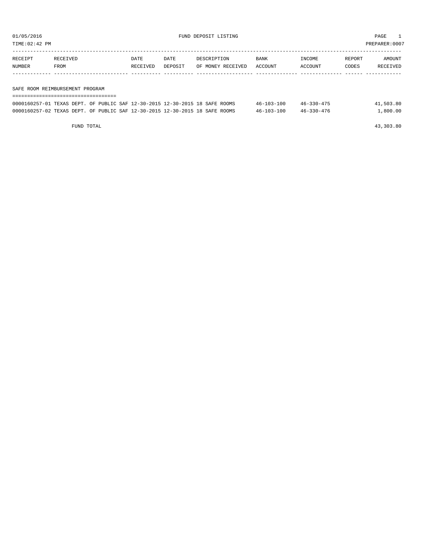TIME:02:42 PM PREPARER:0007

| RECEIPT | RECEIVED                        | DATE     | DATE    | DESCRIPTION       | BANK    | INCOME  | REPORT | <b>AMOUNT</b> |
|---------|---------------------------------|----------|---------|-------------------|---------|---------|--------|---------------|
| NUMBER  | FROM                            | RECEIVED | DEPOSIT | OF MONEY RECEIVED | ACCOUNT | ACCOUNT | CODES  | RECEIVED      |
|         |                                 |          |         |                   |         |         |        |               |
|         | SAFE ROOM REIMBURSEMENT PROGRAM |          |         |                   |         |         |        |               |

| ===========================                                                 |  |                  |                  |           |  |  |  |  |
|-----------------------------------------------------------------------------|--|------------------|------------------|-----------|--|--|--|--|
| 0000160257-01 TEXAS DEPT. OF PUBLIC SAF 12-30-2015 12-30-2015 18 SAFE ROOMS |  | $46 - 103 - 100$ | $46 - 330 - 475$ | 41,503.80 |  |  |  |  |
| 0000160257-02 TEXAS DEPT. OF PUBLIC SAF 12-30-2015 12-30-2015 18 SAFE ROOMS |  | $46 - 103 - 100$ | $46 - 330 - 476$ | 1,800.00  |  |  |  |  |

FUND TOTAL 43,303.80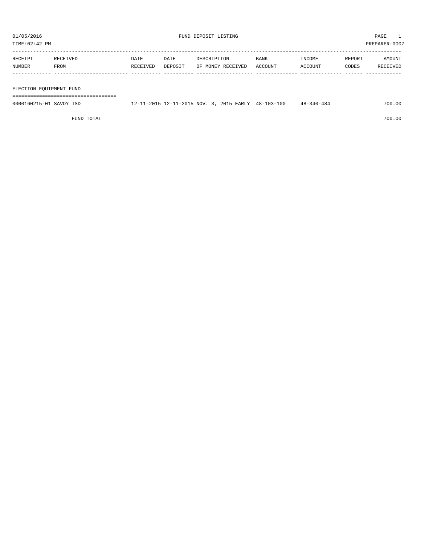TIME:02:42 PM PREPARER:0007

| RECEIPT       | RECEIVED | DATE     | DATE    | DESCRIPTION       | BANK    | INCOME  | REPORT | AMOUNT   |
|---------------|----------|----------|---------|-------------------|---------|---------|--------|----------|
| <b>NUMBER</b> | FROM     | RECEIVED | DEPOSIT | OF MONEY RECEIVED | ACCOUNT | ACCOUNT | CODES  | RECEIVED |
|               |          |          |         |                   |         |         |        |          |
|               |          |          |         |                   |         |         |        |          |

ELECTION EQUIPMENT FUND

===================================

| 0000160215-01 SAVOY ISD | 11-2015 12-11-2015 NOV. 3, 2015 EARLY | 48-103-100 | $48 - 340 - 484$ | 700.00 |
|-------------------------|---------------------------------------|------------|------------------|--------|
|                         |                                       |            |                  |        |

FUND TOTAL 700.00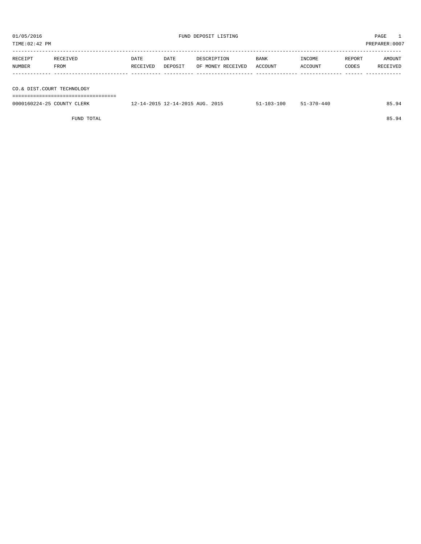| TIME: 02:42 PM<br>PREPARER:0007 |          |          |         |                   |         |         |        |          |
|---------------------------------|----------|----------|---------|-------------------|---------|---------|--------|----------|
| RECEIPT                         | RECEIVED | DATE     | DATE    | DESCRIPTION       | BANK    | INCOME  | REPORT | AMOUNT   |
|                                 |          |          |         |                   |         |         |        |          |
| NUMBER                          | FROM     | RECEIVED | DEPOSIT | OF MONEY RECEIVED | ACCOUNT | ACCOUNT | CODES  | RECEIVED |
|                                 |          |          |         |                   |         |         |        |          |
|                                 |          |          |         |                   |         |         |        |          |
|                                 |          |          |         |                   |         |         |        |          |
| CO.& DIST.COURT TECHNOLOGY      |          |          |         |                   |         |         |        |          |
|                                 |          |          |         |                   |         |         |        |          |

| -------------------------------<br>___<br>--------------------------------<br>___ |                 |                                                  |                                    |  |
|-----------------------------------------------------------------------------------|-----------------|--------------------------------------------------|------------------------------------|--|
| nnr<br>TINT.<br>LERK<br>$\overline{\phantom{a}}$                                  | ົ່າດາ "<br>TTC- | $\sim$ $\sim$ $\sim$ $\sim$ $\sim$ $\sim$ $\sim$ | $\sim$ $\sim$ $\sim$ $\sim$ $\sim$ |  |

FUND TOTAL 85.94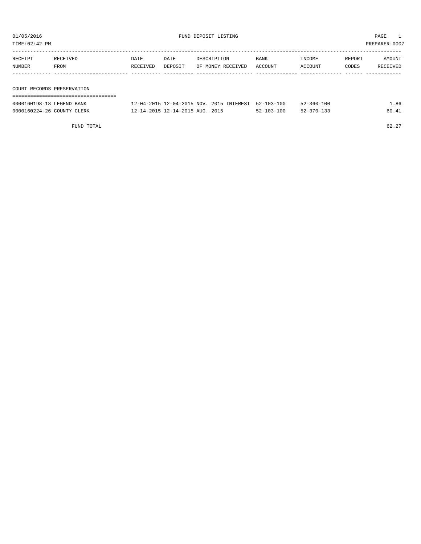| TIME:02:42 PM | PREPARER:0007              |          |         |                   |         |         |        |          |  |
|---------------|----------------------------|----------|---------|-------------------|---------|---------|--------|----------|--|
| RECEIPT       | RECEIVED                   | DATE     | DATE    | DESCRIPTION       | BANK    | INCOME  | REPORT | AMOUNT   |  |
| NUMBER        | FROM                       | RECEIVED | DEPOSIT | OF MONEY RECEIVED | ACCOUNT | ACCOUNT | CODES  | RECEIVED |  |
|               |                            |          |         |                   |         |         |        |          |  |
|               | COURT RECORDS PRESERVATION |          |         |                   |         |         |        |          |  |
|               |                            |          |         |                   |         |         |        |          |  |

| 0000160198-18 LEGEND BANK  | 12-04-2015 12-04-2015 NOV 2015 INTEREST 52-103-100 |            | $52 - 360 - 100$ | .86   |
|----------------------------|----------------------------------------------------|------------|------------------|-------|
| 0000160224-26 COUNTY CLERK | 12-14-2015 12-14-2015 AUG. 2015                    | 52-103-100 | 52-370-133       | 60.41 |

FUND TOTAL  $62.27$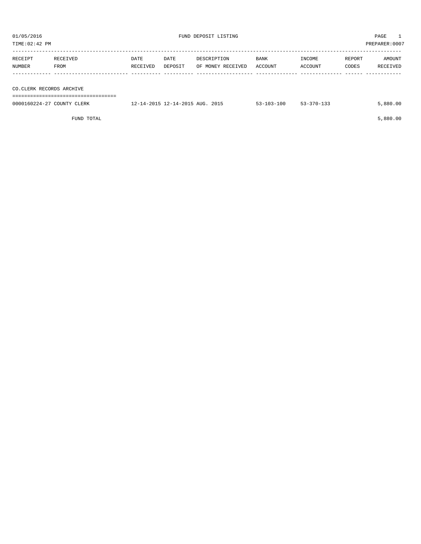| 01/05/2016<br>TIME: 02:42 PM |                  |                  | FUND DEPOSIT LISTING            |                                  | PAGE<br>PREPARER: 0007 |                   |                 |                    |
|------------------------------|------------------|------------------|---------------------------------|----------------------------------|------------------------|-------------------|-----------------|--------------------|
| RECEIPT<br>NUMBER            | RECEIVED<br>FROM | DATE<br>RECEIVED | DATE<br>DEPOSIT                 | DESCRIPTION<br>OF MONEY RECEIVED | BANK<br>ACCOUNT        | INCOME<br>ACCOUNT | REPORT<br>CODES | AMOUNT<br>RECEIVED |
| CO.CLERK RECORDS ARCHIVE     |                  |                  |                                 |                                  |                        |                   |                 |                    |
| 0000160224-27 COUNTY CLERK   |                  |                  | 12-14-2015 12-14-2015 AUG. 2015 |                                  | $53 - 103 - 100$       | $53 - 370 - 133$  |                 | 5,880.00           |

FUND TOTAL 5,880.00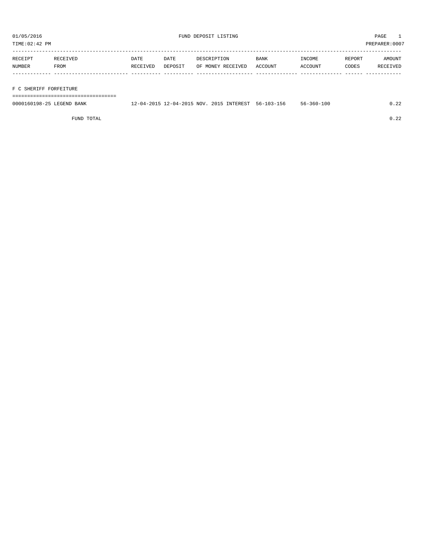TIME:02:42 PM PREPARER:0007

| RECEIPT | RECEIVED | DATE     | DATE    | DESCRIPTION       | BANK    | INCOME  | REPORT | AMOUNT   |
|---------|----------|----------|---------|-------------------|---------|---------|--------|----------|
| NUMBER  | FROM     | RECEIVED | DEPOSIT | OF MONEY RECEIVED | ACCOUNT | ACCOUNT | CODES  | RECEIVED |
|         |          |          |         |                   |         |         |        |          |
|         |          |          |         |                   |         |         |        |          |

F C SHERIFF FORFEITURE

===================================

| 0000160198-25<br><b>LEGEND</b> <sub>E</sub><br>BANK | . 2-04-2015 NOV<br>201 | INTEREST<br>2015 | 103-156<br>102<br>$56 - 1$<br>. | $56 - 360 - 100$ | $\sim$ |
|-----------------------------------------------------|------------------------|------------------|---------------------------------|------------------|--------|
|                                                     |                        |                  |                                 |                  |        |

FUND TOTAL 0.22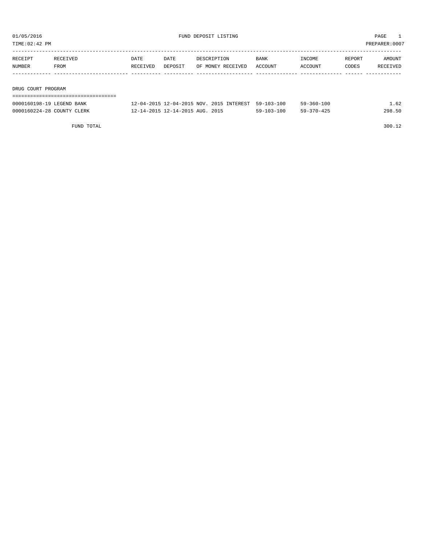TIME:02:42 PM PREPARER:0007

| RECEIPT            | RECEIVED | DATE     | DATE    | DESCRIPTION       | BANK    | INCOME  | REPORT | AMOUNT   |  |  |
|--------------------|----------|----------|---------|-------------------|---------|---------|--------|----------|--|--|
| NUMBER             | FROM     | RECEIVED | DEPOSIT | OF MONEY RECEIVED | ACCOUNT | ACCOUNT | CODES  | RECEIVED |  |  |
|                    |          |          |         |                   |         |         |        |          |  |  |
|                    |          |          |         |                   |         |         |        |          |  |  |
| DRUG COURT PROGRAM |          |          |         |                   |         |         |        |          |  |  |
|                    |          |          |         |                   |         |         |        |          |  |  |

| 0000160198-19 LEGEND BANK  | 12-04-2015 12-04-2015 NOV. 2015 INTEREST 59-103-100 |                  | $59 - 360 - 100$ | L.62   |
|----------------------------|-----------------------------------------------------|------------------|------------------|--------|
| 0000160224-28 COUNTY CLERK | 12-14-2015 12-14-2015 AUG. 2015                     | $59 - 103 - 100$ | $59 - 370 - 425$ | 298.50 |

FUND TOTAL 300.12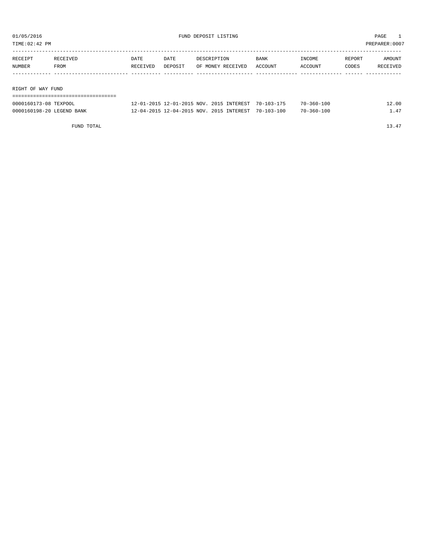TIME:02:42 PM PREPARER:0007

| RECEIPT           | RECEIVED | DATE     | DATE    | DESCRIPTION       | <b>BANK</b> | INCOME  | REPORT | AMOUNT   |  |  |  |
|-------------------|----------|----------|---------|-------------------|-------------|---------|--------|----------|--|--|--|
| NUMBER            | FROM     | RECEIVED | DEPOSIT | OF MONEY RECEIVED | ACCOUNT     | ACCOUNT | CODES  | RECEIVED |  |  |  |
|                   |          |          |         |                   |             |         |        |          |  |  |  |
|                   |          |          |         |                   |             |         |        |          |  |  |  |
| RIGHT OF WAY FUND |          |          |         |                   |             |         |        |          |  |  |  |
|                   |          |          |         |                   |             |         |        |          |  |  |  |

| 0000160173-08 TEXPOOL     | 12-01-2015 12-01-2015 NOV. 2015 INTEREST 70-103-175 | $70 - 360 - 100$ | 12.00 |
|---------------------------|-----------------------------------------------------|------------------|-------|
| 0000160198-20 LEGEND BANK | 12-04-2015 12-04-2015 NOV. 2015 INTEREST 70-103-100 | $70 - 360 - 100$ | 47    |

FUND TOTAL 13.47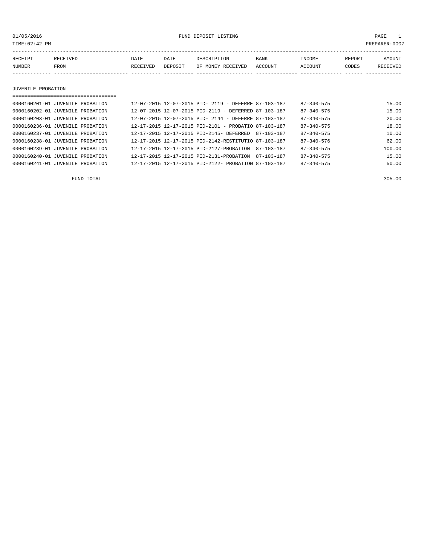01/05/2016 FUND DEPOSIT LISTING PAGE 1

| RECEIPT | <b>RECEIVED</b> | DATE            | DATE    | DESCRIPTION       | <b>BANK</b> | <b>INCOME</b> | REPORT | AMOUNT          |
|---------|-----------------|-----------------|---------|-------------------|-------------|---------------|--------|-----------------|
| NUMBER  | FROM            | <b>RECEIVED</b> | DEPOSIT | OF MONEY RECEIVED | ACCOUNT     | ACCOUNT       | CODES  | <b>RECEIVED</b> |
|         |                 |                 |         |                   |             |               |        |                 |

#### JUVENILE PROBATION

| ================================= |  |                                                      |            |                  |        |
|-----------------------------------|--|------------------------------------------------------|------------|------------------|--------|
| 0000160201-01 JUVENILE PROBATION  |  | 12-07-2015 12-07-2015 PID- 2119 - DEFERRE 87-103-187 |            | $87 - 340 - 575$ | 15.00  |
| 0000160202-01 JUVENILE PROBATION  |  | 12-07-2015 12-07-2015 PID-2119 - DEFERRED 87-103-187 |            | $87 - 340 - 575$ | 15.00  |
| 0000160203-01 JUVENILE PROBATION  |  | 12-07-2015 12-07-2015 PID- 2144 - DEFERRE 87-103-187 |            | $87 - 340 - 575$ | 20.00  |
| 0000160236-01 JUVENILE PROBATION  |  | 12-17-2015 12-17-2015 PID-2101 - PROBATIO 87-103-187 |            | $87 - 340 - 575$ | 18.00  |
| 0000160237-01 JUVENILE PROBATION  |  | 12-17-2015 12-17-2015 PID-2145- DEFERRED             | 87-103-187 | $87 - 340 - 575$ | 10.00  |
| 0000160238-01 JUVENILE PROBATION  |  | 12-17-2015 12-17-2015 PID-2142-RESTITUTIO 87-103-187 |            | $87 - 340 - 576$ | 62.00  |
| 0000160239-01 JUVENILE PROBATION  |  | 12-17-2015 12-17-2015 PID-2127-PROBATION             | 87-103-187 | $87 - 340 - 575$ | 100.00 |
| 0000160240-01 JUVENILE PROBATION  |  | 12-17-2015 12-17-2015 PID-2131-PROBATION             | 87-103-187 | $87 - 340 - 575$ | 15.00  |
| 0000160241-01 JUVENILE PROBATION  |  | 12-17-2015 12-17-2015 PID-2122- PROBATION 87-103-187 |            | $87 - 340 - 575$ | 50.00  |
|                                   |  |                                                      |            |                  |        |

FUND TOTAL 305.00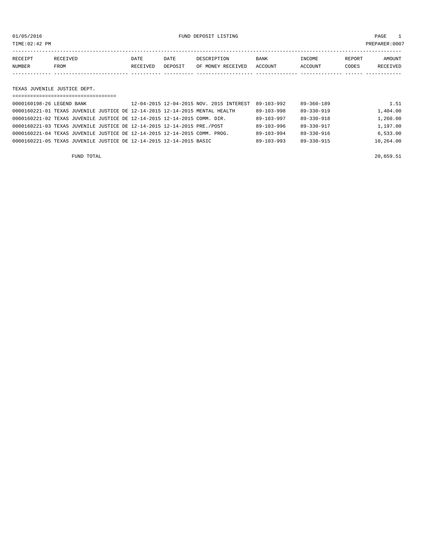01/05/2016 FUND DEPOSIT LISTING PAGE 1

| RECEIPT | <b>RECEIVED</b> | DATE     | DATE           | DESCRIPTION       | <b>BANK</b> | <b>TNCOME</b>  | REPORT | AMOUNT   |
|---------|-----------------|----------|----------------|-------------------|-------------|----------------|--------|----------|
| NUMBER  | FROM            | RECEIVED | <b>DEPOSTT</b> | OF MONEY RECEIVED | ACCOUNT     | <b>ACCOUNT</b> | CODES  | RECEIVED |
|         |                 |          |                |                   |             |                |        |          |

#### TEXAS JUVENILE JUSTICE DEPT.

| ----------------------------- |                                                                             |                                      |           |
|-------------------------------|-----------------------------------------------------------------------------|--------------------------------------|-----------|
| 0000160198-26 LEGEND BANK     | 12-04-2015 12-04-2015 NOV. 2015 INTEREST                                    | $89 - 360 - 189$<br>89-103-992       | 1.51      |
|                               | 0000160221-01 TEXAS JUVENILE JUSTICE DE 12-14-2015 12-14-2015 MENTAL HEALTH | $89 - 330 - 919$<br>$89 - 103 - 998$ | 1,404.00  |
|                               | 0000160221-02 TEXAS JUVENILE JUSTICE DE 12-14-2015 12-14-2015 COMM. DIR.    | $89 - 330 - 918$<br>89-103-997       | 1,260.00  |
|                               | 0000160221-03 TEXAS JUVENILE JUSTICE DE 12-14-2015 12-14-2015 PRE./POST     | $89 - 330 - 917$<br>$89 - 103 - 996$ | 1,197.00  |
|                               | 0000160221-04 TEXAS JUVENILE JUSTICE DE 12-14-2015 12-14-2015 COMM. PROG.   | $89 - 330 - 916$<br>89-103-994       | 6,533.00  |
|                               | 0000160221-05 TEXAS JUVENILE JUSTICE DE 12-14-2015 12-14-2015 BASIC         | $89 - 103 - 993$<br>$89 - 330 - 915$ | 10,264.00 |

FUND TOTAL 20,659.51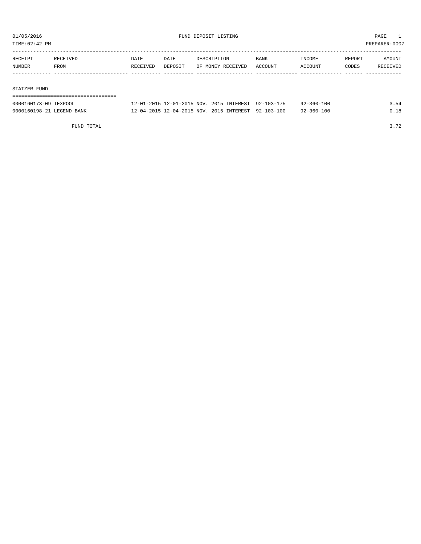TIME:02:42 PM PREPARER:0007

| RECEIPT | RECEIVED | <b>DATE</b> | DATE    | DESCRIPTION       | <b>BANK</b> | INCOME  | REPORT | AMOUNT   |
|---------|----------|-------------|---------|-------------------|-------------|---------|--------|----------|
| NUMBER  | FROM     | RECEIVED    | DEPOSIT | OF MONEY RECEIVED | ACCOUNT     | ACCOUNT | CODES  | RECEIVED |
|         |          |             |         |                   |             |         |        |          |
|         |          |             |         |                   |             |         |        |          |

#### STATZER FUND

| 0000160173-09 TEXPOOL     | 12-01-2015 12-01-2015 NOV, 2015 INTEREST 92-103-175 |  | 92-360-100       | 3.54 |
|---------------------------|-----------------------------------------------------|--|------------------|------|
| 0000160198-21 LEGEND BANK | 12-04-2015 12-04-2015 NOV. 2015 INTEREST 92-103-100 |  | $92 - 360 - 100$ | 0.18 |

FUND TOTAL 3.72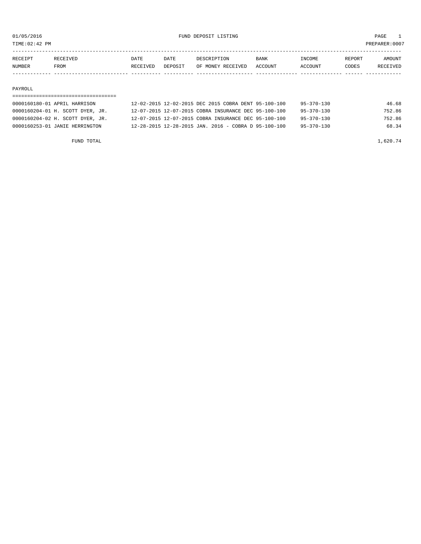TIME:02:42 PM PREPARER:0007

| RECEIPT | RECEIVED    | DATE     | DATE    | DESCRIPTION       | <b>BANK</b> | <b>TNCOME</b> | REPORT | AMOUNT          |
|---------|-------------|----------|---------|-------------------|-------------|---------------|--------|-----------------|
| NUMBER  | <b>FROM</b> | RECEIVED | DEPOSIT | OF MONEY RECEIVED | ACCOUNT     | ACCOUNT       | CODES  | <b>RECEIVED</b> |
|         |             |          |         |                   |             |               |        |                 |

#### PAYROLL

### =================================== 0000160180-01 APRIL HARRISON 12-02-2015 12-02-2015 DEC 2015 COBRA DENT 95-100-100 95-370-130 46.68 0000160204-01 H. SCOTT DYER, JR. 12-07-2015 12-07-2015 COBRA INSURANCE DEC 95-100-100 95-370-130 752.86 0000160204-02 H. SCOTT DYER, JR. 12-07-2015 12-07-2015 COBRA INSURANCE DEC 95-100-100 95-370-130 752.86 0000160253-01 JANIE HERRINGTON 12-28-2015 12-28-2015 JAN. 2016 - COBRA D 95-100-100 95-370-130 68.34

FUND TOTAL  $1,620.74$